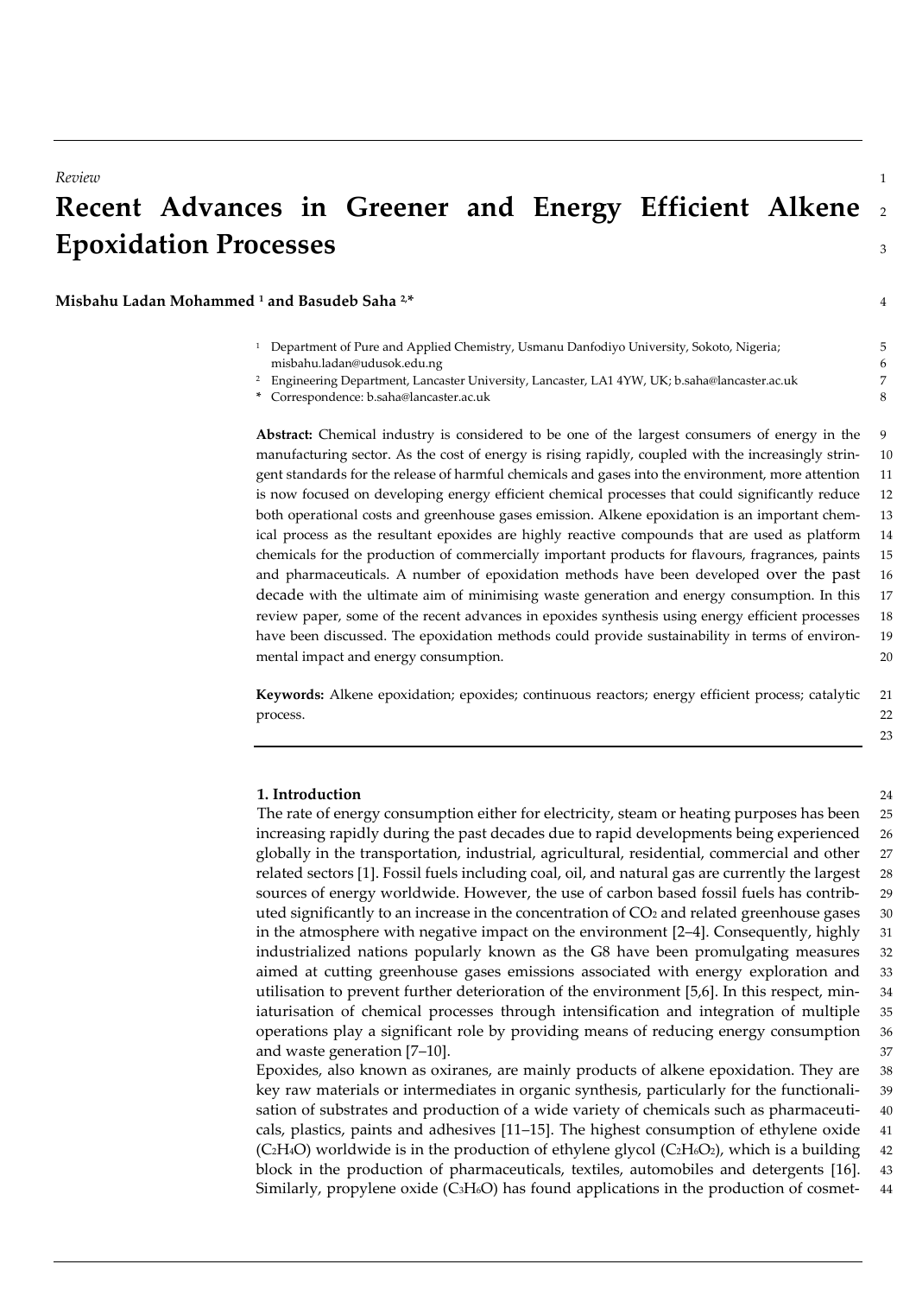# **Recent Advances in Greener and Energy Efficient Alkene** <sup>2</sup> **Epoxidation Processes** <sup>3</sup>

**Misbahu Ladan Mohammed <sup>1</sup> and Basudeb Saha 2,\*** 4

- <sup>1</sup> Department of Pure and Applied Chemistry, Usmanu Danfodiyo University, Sokoto, Nigeria; 5 misbahu.ladan@udusok.edu.ng 6
- <sup>2</sup> Engineering Department, Lancaster University, Lancaster, LA1 4YW, UK; b.saha@lancaster.ac.uk 7

Abstract: Chemical industry is considered to be one of the largest consumers of energy in the 9 manufacturing sector. As the cost of energy is rising rapidly, coupled with the increasingly strin- 10 gent standards for the release of harmful chemicals and gases into the environment, more attention 11 is now focused on developing energy efficient chemical processes that could significantly reduce 12 both operational costs and greenhouse gases emission. Alkene epoxidation is an important chem- 13 ical process as the resultant epoxides are highly reactive compounds that are used as platform 14 chemicals for the production of commercially important products for flavours, fragrances, paints 15 and pharmaceuticals. A number of epoxidation methods have been developed over the past 16 decade with the ultimate aim of minimising waste generation and energy consumption. In this 17 review paper, some of the recent advances in epoxides synthesis using energy efficient processes 18 have been discussed. The epoxidation methods could provide sustainability in terms of environ- 19 mental impact and energy consumption. 20

**Keywords:** Alkene epoxidation; epoxides; continuous reactors; energy efficient process; catalytic 21 process. 22

#### **1. Introduction** 24

The rate of energy consumption either for electricity, steam or heating purposes has been 25 increasing rapidly during the past decades due to rapid developments being experienced 26 globally in the transportation, industrial, agricultural, residential, commercial and other 27 related sectors [1]. Fossil fuels including coal, oil, and natural gas are currently the largest 28 sources of energy worldwide. However, the use of carbon based fossil fuels has contrib- 29 uted significantly to an increase in the concentration of CO<sub>2</sub> and related greenhouse gases 30 in the atmosphere with negative impact on the environment [2–4]. Consequently, highly 31 industrialized nations popularly known as the G8 have been promulgating measures 32 aimed at cutting greenhouse gases emissions associated with energy exploration and 33 utilisation to prevent further deterioration of the environment [5,6]. In this respect, min- 34 iaturisation of chemical processes through intensification and integration of multiple 35 operations play a significant role by providing means of reducing energy consumption 36 and waste generation [7–10]. 37

Epoxides, also known as oxiranes, are mainly products of alkene epoxidation. They are 38 key raw materials or intermediates in organic synthesis, particularly for the functionali- 39 sation of substrates and production of a wide variety of chemicals such as pharmaceuti- 40 cals, plastics, paints and adhesives [11–15]. The highest consumption of ethylene oxide 41  $(C_2H_4O)$  worldwide is in the production of ethylene glycol  $(C_2H_4O_2)$ , which is a building 42 block in the production of pharmaceuticals, textiles, automobiles and detergents [16]. 43 Similarly, propylene oxide (C3H6O) has found applications in the production of cosmet- 44

**<sup>\*</sup>** Correspondence: b.saha@lancaster.ac.uk 8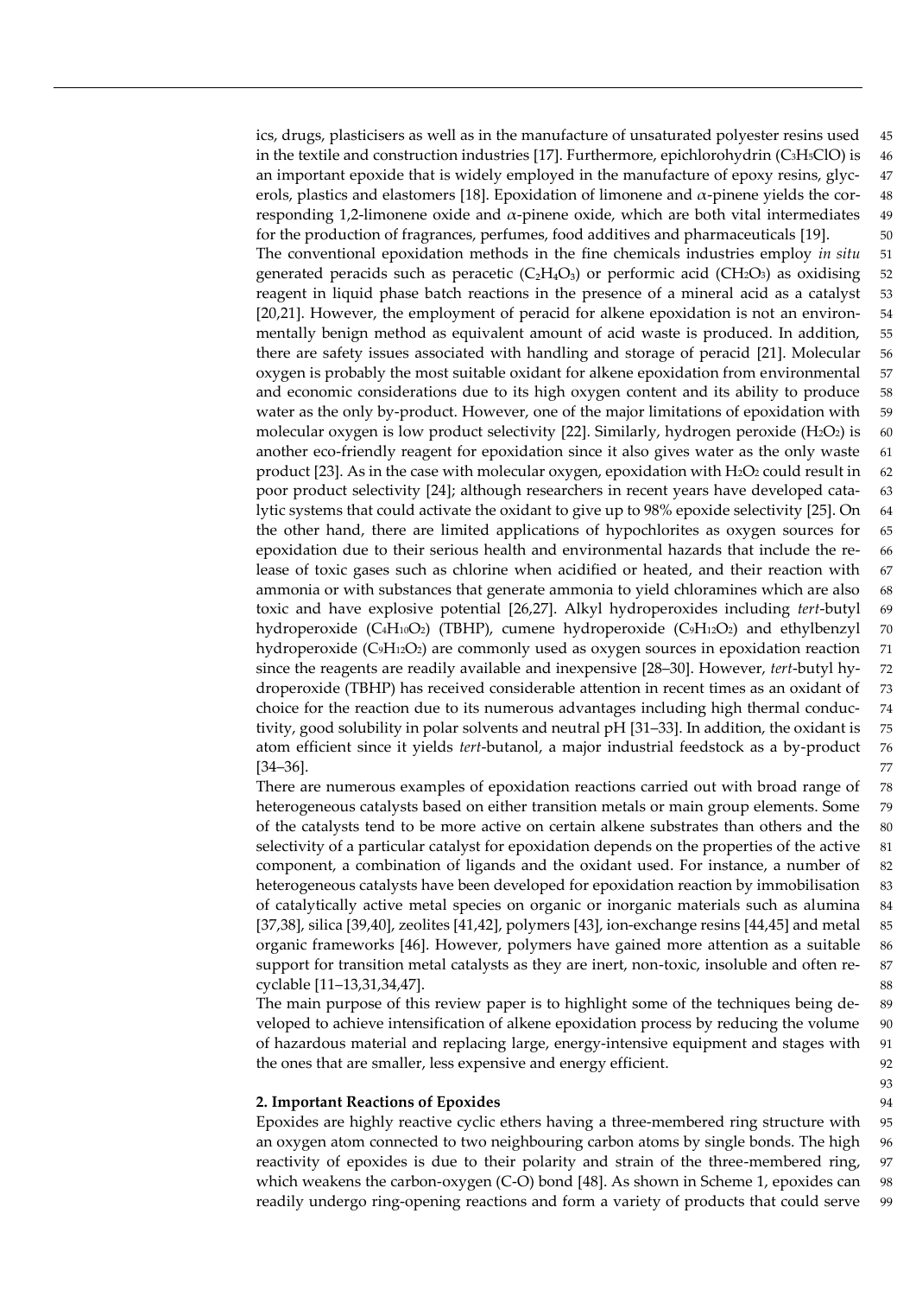ics, drugs, plasticisers as well as in the manufacture of unsaturated polyester resins used 45 in the textile and construction industries [17]. Furthermore, epichlorohydrin (C3H5ClO) is 46 an important epoxide that is widely employed in the manufacture of epoxy resins, glyc- 47 erols, plastics and elastomers [18]. Epoxidation of limonene and α-pinene yields the cor- 48 responding 1,2-limonene oxide and  $α$ -pinene oxide, which are both vital intermediates 49 for the production of fragrances, perfumes, food additives and pharmaceuticals [19]. 50 The conventional epoxidation methods in the fine chemicals industries employ *in situ* 51 generated peracids such as peracetic  $(C_2H_4O_3)$  or performic acid (CH<sub>2</sub>O<sub>3</sub>) as oxidising 52 reagent in liquid phase batch reactions in the presence of a mineral acid as a catalyst 53 [20,21]. However, the employment of peracid for alkene epoxidation is not an environ- 54 mentally benign method as equivalent amount of acid waste is produced. In addition, 55 there are safety issues associated with handling and storage of peracid [21]. Molecular 56 oxygen is probably the most suitable oxidant for alkene epoxidation from environmental 57 and economic considerations due to its high oxygen content and its ability to produce 58 water as the only by-product. However, one of the major limitations of epoxidation with 59 molecular oxygen is low product selectivity [22]. Similarly, hydrogen peroxide  $(H_2O_2)$  is 60 another eco-friendly reagent for epoxidation since it also gives water as the only waste 61 product [23]. As in the case with molecular oxygen, epoxidation with  $H_2O_2$  could result in 62 poor product selectivity [24]; although researchers in recent years have developed cata- 63 lytic systems that could activate the oxidant to give up to 98% epoxide selectivity [25]. On 64 the other hand, there are limited applications of hypochlorites as oxygen sources for 65 epoxidation due to their serious health and environmental hazards that include the re- 66 lease of toxic gases such as chlorine when acidified or heated, and their reaction with 67 ammonia or with substances that generate ammonia to yield chloramines which are also 68 toxic and have explosive potential [26,27]. Alkyl hydroperoxides including *tert*-butyl 69 hydroperoxide (C4H10O2) (TBHP), cumene hydroperoxide (C9H12O2) and ethylbenzyl 70 hydroperoxide (C9H12O2) are commonly used as oxygen sources in epoxidation reaction 71 since the reagents are readily available and inexpensive [28–30]. However, *tert*-butyl hy- 72 droperoxide (TBHP) has received considerable attention in recent times as an oxidant of 73 choice for the reaction due to its numerous advantages including high thermal conduc- 74 tivity, good solubility in polar solvents and neutral pH [31–33]. In addition, the oxidant is 75 atom efficient since it yields *tert*-butanol, a major industrial feedstock as a by-product 76  $[34-36]$ . 77

There are numerous examples of epoxidation reactions carried out with broad range of 78 heterogeneous catalysts based on either transition metals or main group elements. Some 79 of the catalysts tend to be more active on certain alkene substrates than others and the 80 selectivity of a particular catalyst for epoxidation depends on the properties of the active 81 component, a combination of ligands and the oxidant used. For instance, a number of 82 heterogeneous catalysts have been developed for epoxidation reaction by immobilisation 83 of catalytically active metal species on organic or inorganic materials such as alumina 84 [37,38], silica [39,40], zeolites [41,42], polymers [43], ion-exchange resins [44,45] and metal 85 organic frameworks [46]. However, polymers have gained more attention as a suitable 86 support for transition metal catalysts as they are inert, non-toxic, insoluble and often re- 87 cyclable [11–13,31,34,47]. 88

The main purpose of this review paper is to highlight some of the techniques being de- 89 veloped to achieve intensification of alkene epoxidation process by reducing the volume 90 of hazardous material and replacing large, energy-intensive equipment and stages with 91 the ones that are smaller, less expensive and energy efficient. 92

93

### **2. Important Reactions of Epoxides** 94

Epoxides are highly reactive cyclic ethers having a three-membered ring structure with 95 an oxygen atom connected to two neighbouring carbon atoms by single bonds. The high 96 reactivity of epoxides is due to their polarity and strain of the three-membered ring, 97 which weakens the carbon-oxygen (C-O) bond [48]. As shown in Scheme 1, epoxides can 98 readily undergo ring-opening reactions and form a variety of products that could serve 99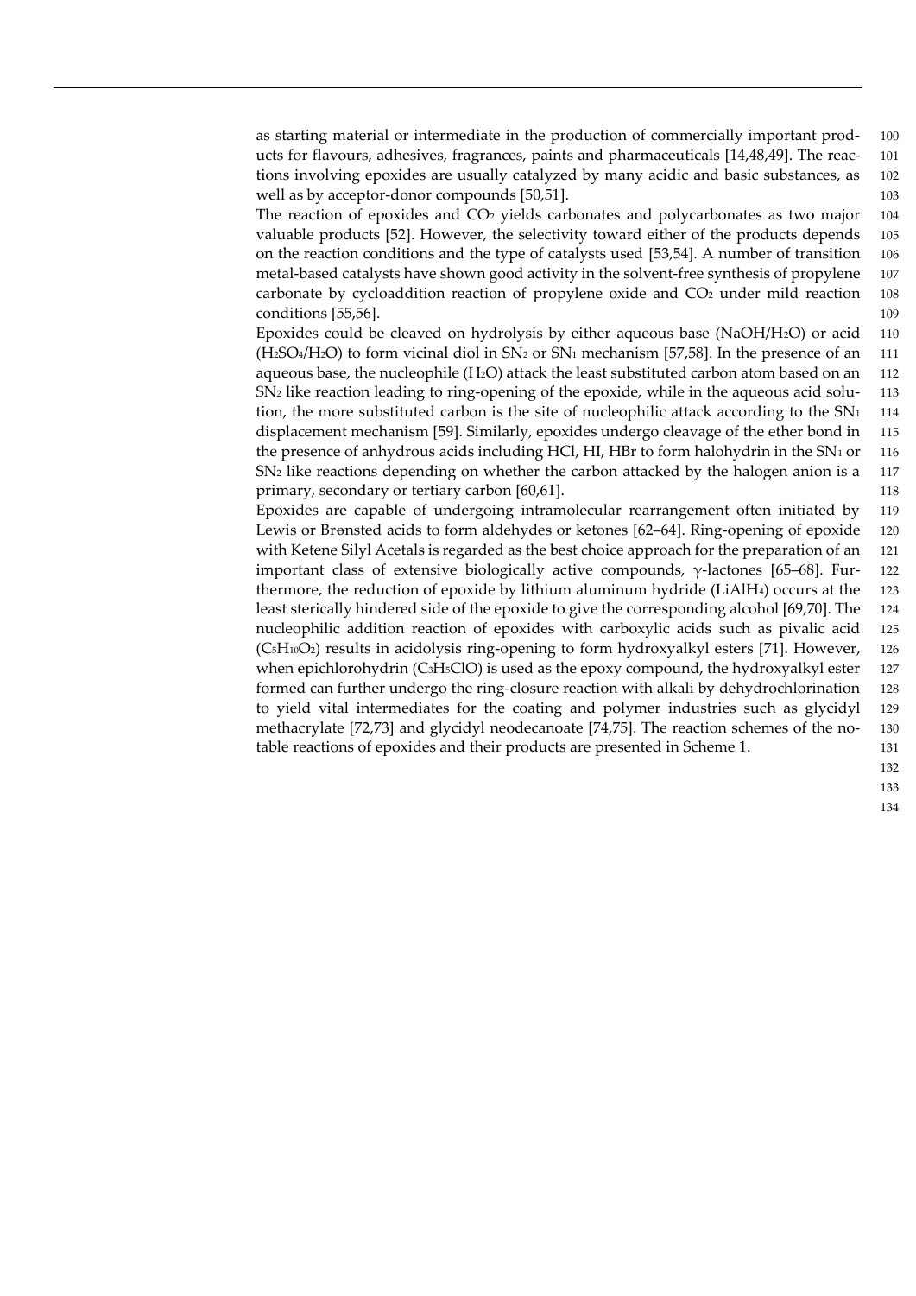The reaction of epoxides and  $CO<sub>2</sub>$  yields carbonates and polycarbonates as two major 104 valuable products [52]. However, the selectivity toward either of the products depends 105 on the reaction conditions and the type of catalysts used [53,54]. A number of transition 106 metal-based catalysts have shown good activity in the solvent-free synthesis of propylene 107 carbonate by cycloaddition reaction of propylene oxide and CO<sub>2</sub> under mild reaction 108 conditions [55,56]. 109

Epoxides could be cleaved on hydrolysis by either aqueous base (NaOH/H2O) or acid 110  $(H_2SO_4/H_2O)$  to form vicinal diol in  $SN_2$  or  $SN_1$  mechanism [57,58]. In the presence of an 111 aqueous base, the nucleophile (H<sub>2</sub>O) attack the least substituted carbon atom based on an 112 SN<sup>2</sup> like reaction leading to ring-opening of the epoxide, while in the aqueous acid solu- 113 tion, the more substituted carbon is the site of nucleophilic attack according to the  $SN<sub>1</sub>$  114 displacement mechanism [59]. Similarly, epoxides undergo cleavage of the ether bond in 115 the presence of anhydrous acids including HCl, HI, HBr to form halohydrin in the  $SN<sub>1</sub>$  or 116 SN<sub>2</sub> like reactions depending on whether the carbon attacked by the halogen anion is a 117 primary, secondary or tertiary carbon [60,61]. 118

Epoxides are capable of undergoing intramolecular rearrangement often initiated by 119 Lewis or Bronsted acids to form aldehydes or ketones [62–64]. Ring-opening of epoxide 120 with Ketene Silyl Acetals is regarded as the best choice approach for the preparation of an 121 important class of extensive biologically active compounds,  $\gamma$ -lactones [65–68]. Fur- 122 thermore, the reduction of epoxide by lithium aluminum hydride (LiAlH4) occurs at the 123 least sterically hindered side of the epoxide to give the corresponding alcohol [69,70]. The 124 nucleophilic addition reaction of epoxides with carboxylic acids such as pivalic acid 125  $(C<sub>5</sub>H<sub>10</sub>O<sub>2</sub>)$  results in acidolysis ring-opening to form hydroxyalkyl esters [71]. However, 126 when epichlorohydrin (C<sub>3</sub>H<sub>5</sub>ClO) is used as the epoxy compound, the hydroxyalkyl ester 127 formed can further undergo the ring-closure reaction with alkali by dehydrochlorination 128 to yield vital intermediates for the coating and polymer industries such as glycidyl 129 methacrylate [72,73] and glycidyl neodecanoate [74,75]. The reaction schemes of the no- 130 table reactions of epoxides and their products are presented in Scheme 1. 131

> 132 133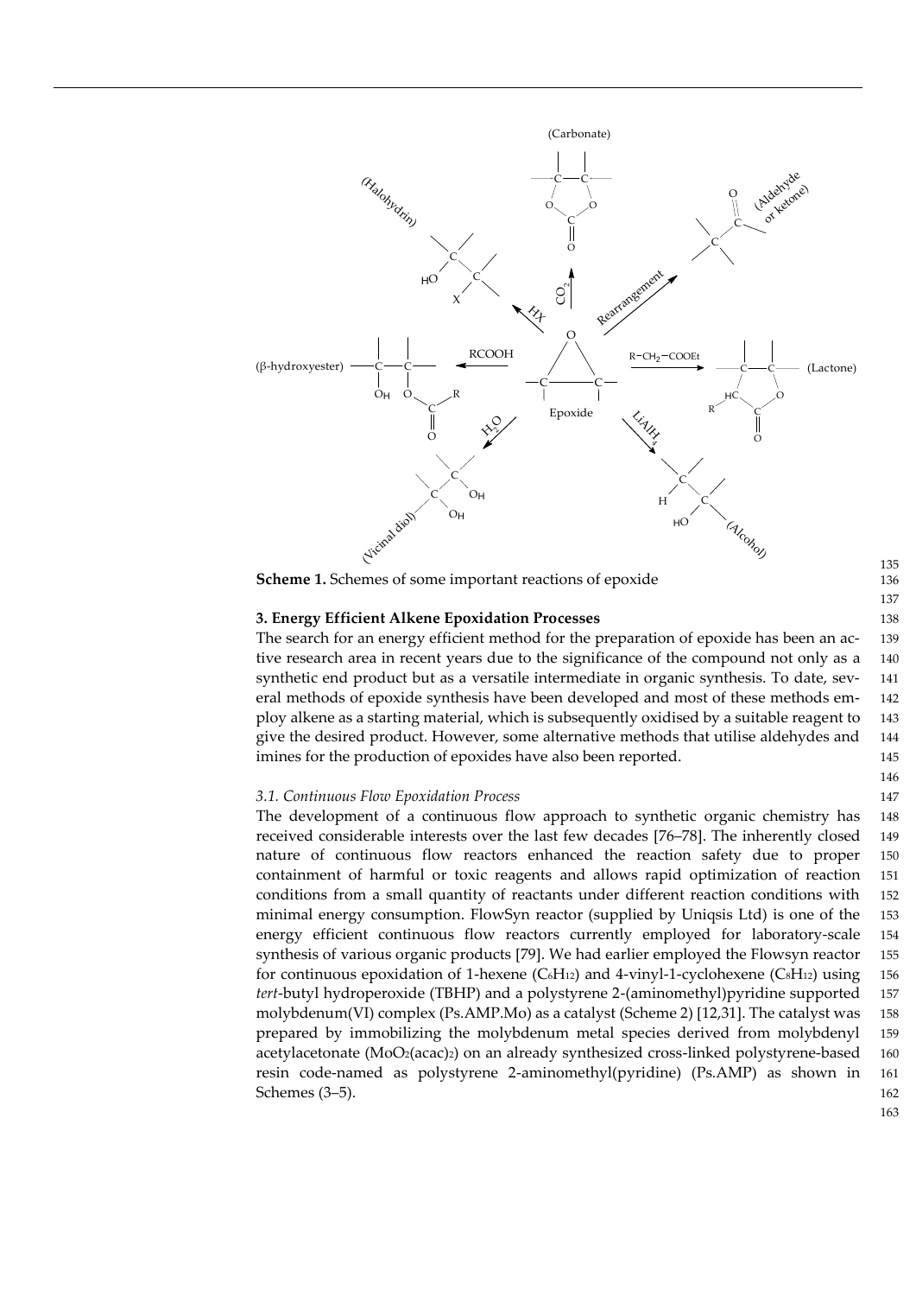

**Scheme 1.** Schemes of some important reactions of epoxide

#### **3. Energy Efficient Alkene Epoxidation Processes** 138

The search for an energy efficient method for the preparation of epoxide has been an ac- 139 tive research area in recent years due to the significance of the compound not only as a 140 synthetic end product but as a versatile intermediate in organic synthesis. To date, sev- 141 eral methods of epoxide synthesis have been developed and most of these methods em- 142 ploy alkene as a starting material, which is subsequently oxidised by a suitable reagent to 143 give the desired product. However, some alternative methods that utilise aldehydes and 144 imines for the production of epoxides have also been reported. 145

#### *3.1. Continuous Flow Epoxidation Process* 147

The development of a continuous flow approach to synthetic organic chemistry has 148 received considerable interests over the last few decades [76–78]. The inherently closed 149 nature of continuous flow reactors enhanced the reaction safety due to proper 150 containment of harmful or toxic reagents and allows rapid optimization of reaction 151 conditions from a small quantity of reactants under different reaction conditions with 152 minimal energy consumption. FlowSyn reactor (supplied by Uniqsis Ltd) is one of the 153 energy efficient continuous flow reactors currently employed for laboratory-scale 154 synthesis of various organic products [79]. We had earlier employed the Flowsyn reactor 155 for continuous epoxidation of 1-hexene ( $C_6H_{12}$ ) and 4-vinyl-1-cyclohexene ( $C_8H_{12}$ ) using 156 *tert*-butyl hydroperoxide (TBHP) and a polystyrene 2-(aminomethyl)pyridine supported 157 molybdenum(VI) complex (Ps.AMP.Mo) as a catalyst (Scheme 2) [12,31]. The catalyst was 158 prepared by immobilizing the molybdenum metal species derived from molybdenyl 159 acetylacetonate  $(MoO<sub>2</sub>(acac)<sub>2</sub>)$  on an already synthesized cross-linked polystyrene-based 160 resin code-named as polystyrene 2-aminomethyl(pyridine) (Ps.AMP) as shown in 161 Schemes (3–5). 162

163

135

137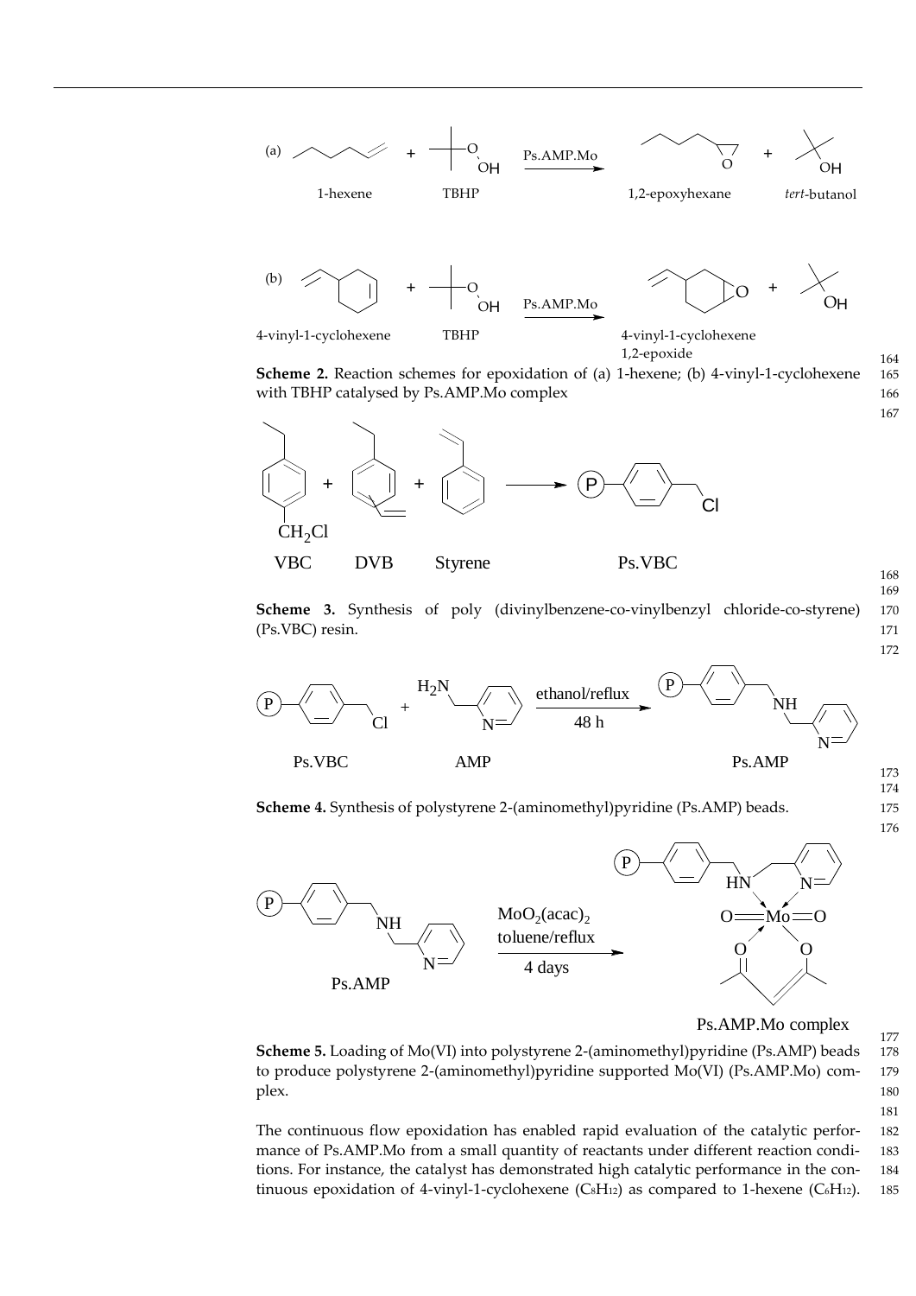

**Scheme 2.** Reaction schemes for epoxidation of (a) 1-hexene; (b) 4-vinyl-1-cyclohexene 165 with TBHP catalysed by Ps.AMP.Mo complex 166



**Scheme 3.** Synthesis of poly (divinylbenzene-co-vinylbenzyl chloride-co-styrene) 170 (Ps.VBC) resin. 171



**Scheme 4.** Synthesis of polystyrene 2-(aminomethyl)pyridine (Ps.AMP) beads. 175



Ps.AMP.Mo complex

**Scheme 5.** Loading of Mo(VI) into polystyrene 2-(aminomethyl)pyridine (Ps.AMP) beads 178 to produce polystyrene 2-(aminomethyl)pyridine supported Mo(VI) (Ps.AMP.Mo) com- 179 plex. The state of the state of the state of the state of the state of the state of the state of the state of the state of the state of the state of the state of the state of the state of the state of the state of the stat 181

The continuous flow epoxidation has enabled rapid evaluation of the catalytic perfor- 182 mance of Ps.AMP.Mo from a small quantity of reactants under different reaction condi- 183 tions. For instance, the catalyst has demonstrated high catalytic performance in the con- 184 tinuous epoxidation of 4-vinyl-1-cyclohexene (C<sub>8</sub>H<sub>12</sub>) as compared to 1-hexene (C<sub>6</sub>H<sub>12</sub>). 185

177

167

168 169

172

174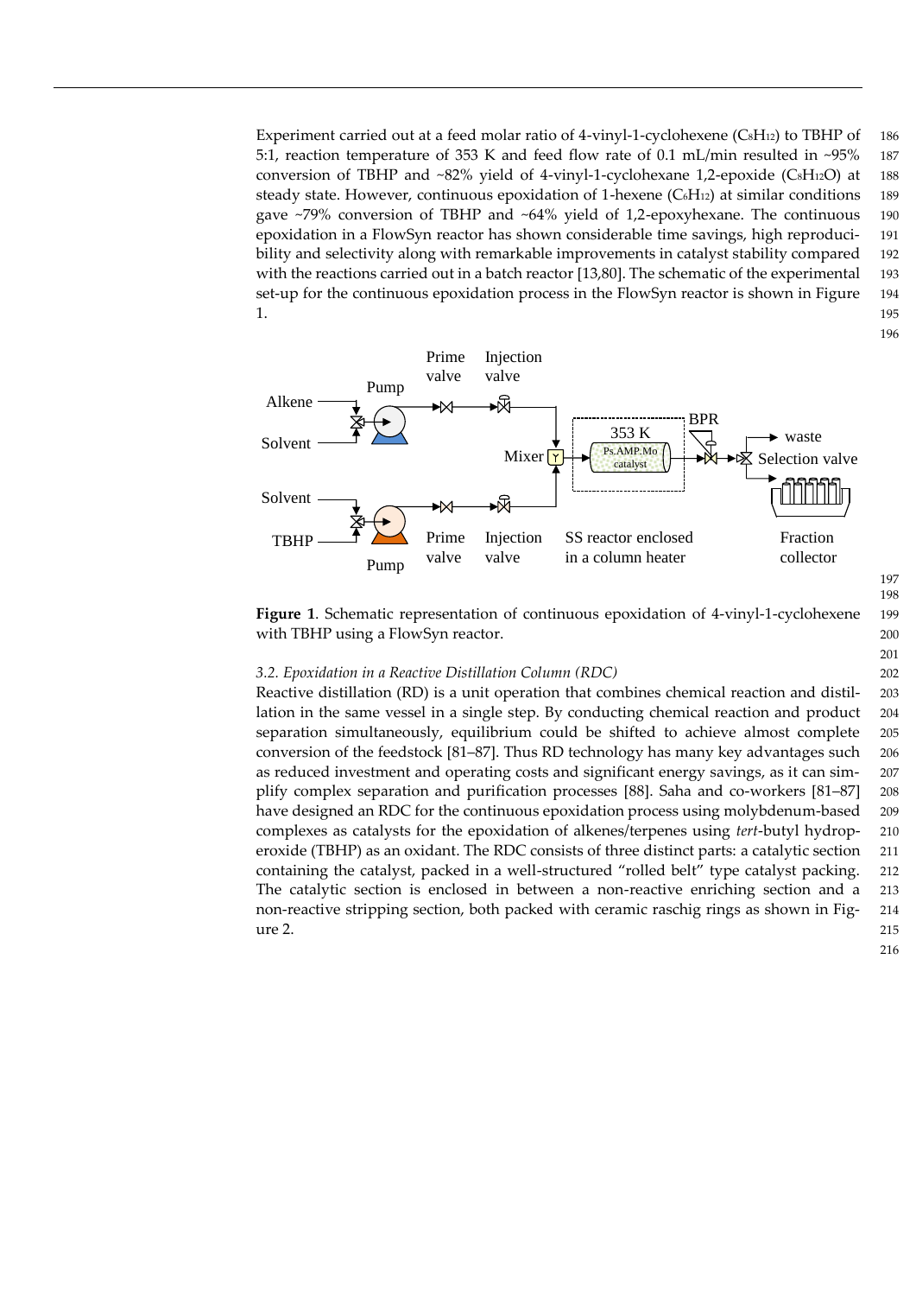Experiment carried out at a feed molar ratio of 4-vinyl-1-cyclohexene (CsH<sub>12</sub>) to TBHP of 186 5:1, reaction temperature of 353 K and feed flow rate of 0.1 mL/min resulted in ~95% 187 conversion of TBHP and  $\sim 82\%$  yield of 4-vinyl-1-cyclohexane 1,2-epoxide (CsH12O) at 188 steady state. However, continuous epoxidation of 1-hexene  $(C_6H_{12})$  at similar conditions 189 gave ~79% conversion of TBHP and ~64% yield of 1,2-epoxyhexane. The continuous 190 epoxidation in a FlowSyn reactor has shown considerable time savings, high reproduci- 191 bility and selectivity along with remarkable improvements in catalyst stability compared 192 with the reactions carried out in a batch reactor [13,80]. The schematic of the experimental 193 set-up for the continuous epoxidation process in the FlowSyn reactor is shown in Figure 194 1. 1.  $1.$ 



198

201

**Figure 1**. Schematic representation of continuous epoxidation of 4-vinyl-1-cyclohexene 199 with TBHP using a FlowSyn reactor. 200

#### *3.2. Epoxidation in a Reactive Distillation Column (RDC)* 202

Reactive distillation (RD) is a unit operation that combines chemical reaction and distil- 203 lation in the same vessel in a single step. By conducting chemical reaction and product 204 separation simultaneously, equilibrium could be shifted to achieve almost complete 205 conversion of the feedstock [81–87]. Thus RD technology has many key advantages such 206 as reduced investment and operating costs and significant energy savings, as it can sim- 207 plify complex separation and purification processes [88]. Saha and co-workers [81–87] 208 have designed an RDC for the continuous epoxidation process using molybdenum-based 209 complexes as catalysts for the epoxidation of alkenes/terpenes using *tert*-butyl hydrop- 210 eroxide (TBHP) as an oxidant. The RDC consists of three distinct parts: a catalytic section 211 containing the catalyst, packed in a well-structured "rolled belt" type catalyst packing. 212 The catalytic section is enclosed in between a non-reactive enriching section and a 213 non-reactive stripping section, both packed with ceramic raschig rings as shown in Fig- 214  $\mu$  and  $\mu$  215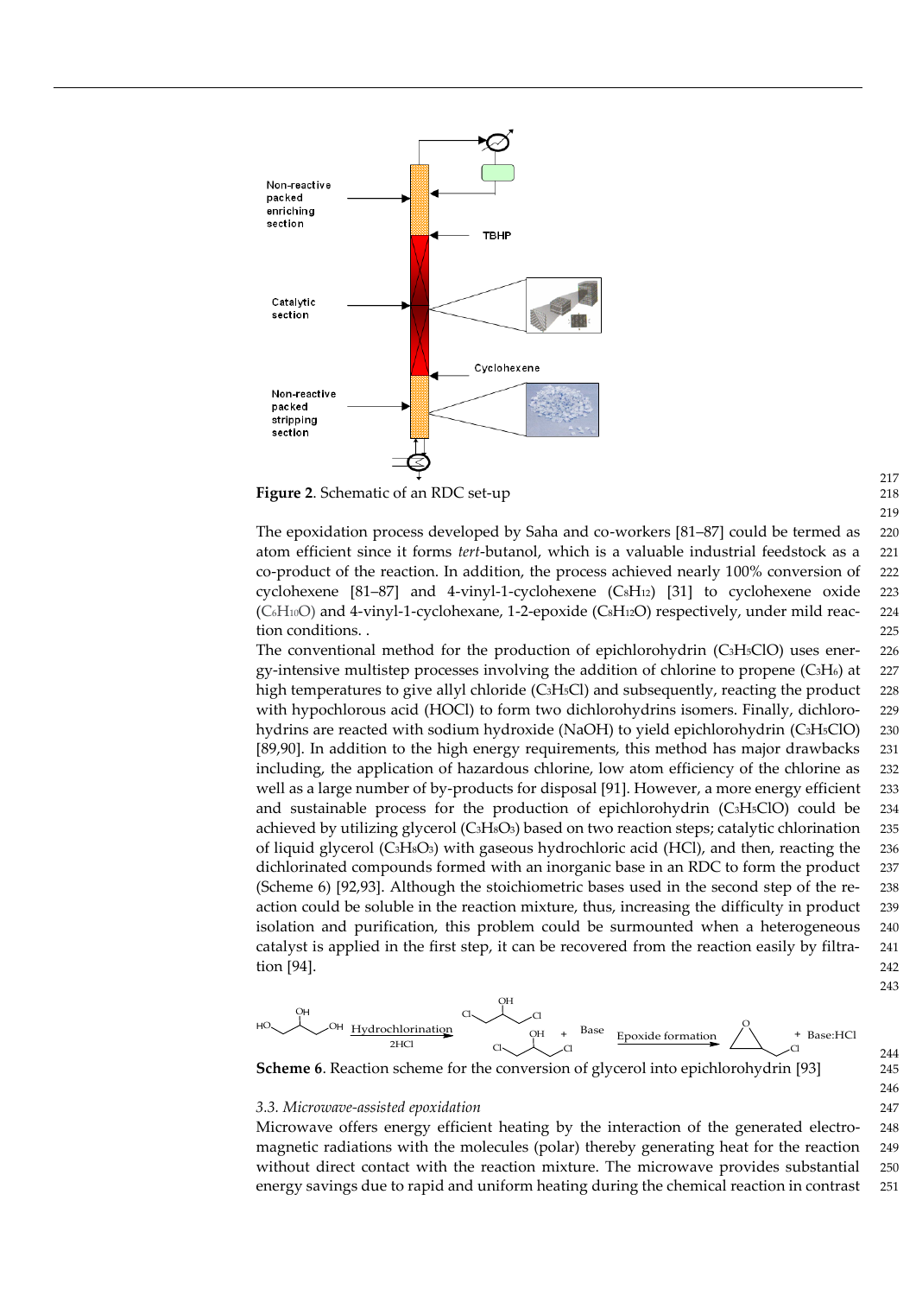

**Figure 2.** Schematic of an RDC set-up

The epoxidation process developed by Saha and co-workers [81–87] could be termed as 220 atom efficient since it forms *tert*-butanol, which is a valuable industrial feedstock as a 221 co-product of the reaction. In addition, the process achieved nearly 100% conversion of 222 cyclohexene  $[81–87]$  and 4-vinyl-1-cyclohexene  $(CsH_{12})$   $[31]$  to cyclohexene oxide 223  $(C<sub>6</sub>H<sub>10</sub>O)$  and 4-vinyl-1-cyclohexane, 1-2-epoxide  $(C<sub>8</sub>H<sub>12</sub>O)$  respectively, under mild reac- 224 tion conditions. . 225

The conventional method for the production of epichlorohydrin (C3H5ClO) uses ener- 226 gy-intensive multistep processes involving the addition of chlorine to propene (C3H6) at 227 high temperatures to give allyl chloride (C<sub>3</sub>H<sub>5</sub>Cl) and subsequently, reacting the product 228 with hypochlorous acid (HOCl) to form two dichlorohydrins isomers. Finally, dichloro- 229 hydrins are reacted with sodium hydroxide (NaOH) to yield epichlorohydrin (C3H5ClO) 230 [89,90]. In addition to the high energy requirements, this method has major drawbacks 231 including, the application of hazardous chlorine, low atom efficiency of the chlorine as 232 well as a large number of by-products for disposal [91]. However, a more energy efficient 233 and sustainable process for the production of epichlorohydrin (C3H5ClO) could be 234 achieved by utilizing glycerol  $(C_3H_8O_3)$  based on two reaction steps; catalytic chlorination 235 of liquid glycerol (C3H<sub>8</sub>O<sub>3</sub>) with gaseous hydrochloric acid (HCl), and then, reacting the 236 dichlorinated compounds formed with an inorganic base in an RDC to form the product 237 (Scheme 6) [92,93]. Although the stoichiometric bases used in the second step of the re- 238 action could be soluble in the reaction mixture, thus, increasing the difficulty in product 239 isolation and purification, this problem could be surmounted when a heterogeneous 240 catalyst is applied in the first step, it can be recovered from the reaction easily by filtra- 241 tion [94]. 242



**Scheme 6**. Reaction scheme for the conversion of glycerol into epichlorohydrin [93] 245

#### *3.3. Microwave-assisted epoxidation* 247

Microwave offers energy efficient heating by the interaction of the generated electro- 248 magnetic radiations with the molecules (polar) thereby generating heat for the reaction 249 without direct contact with the reaction mixture. The microwave provides substantial 250 energy savings due to rapid and uniform heating during the chemical reaction in contrast 251

217 219

243

244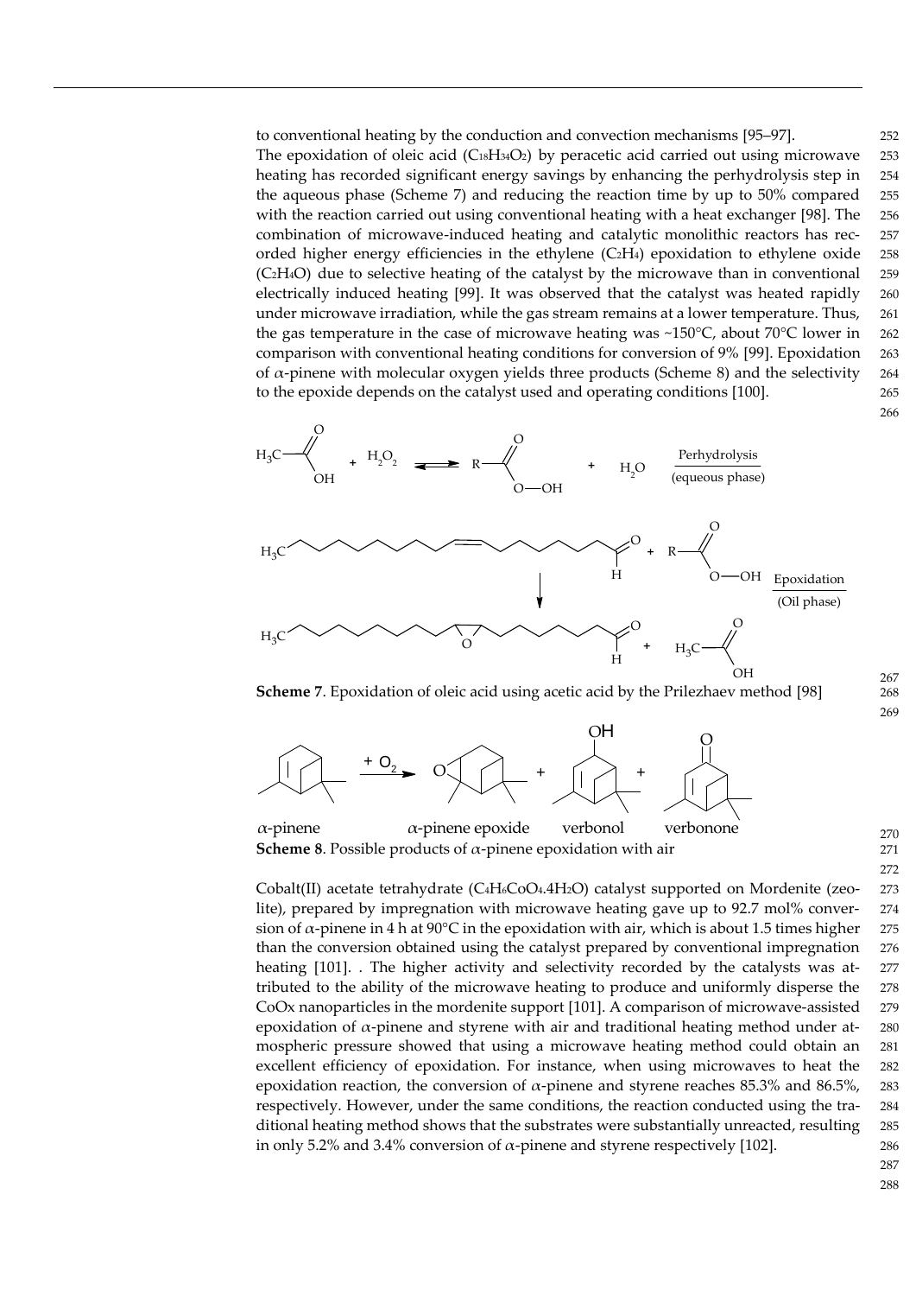to conventional heating by the conduction and convection mechanisms [95–97]. 252 The epoxidation of oleic acid  $(C_{18}H_{34}O_2)$  by peracetic acid carried out using microwave 253 heating has recorded significant energy savings by enhancing the perhydrolysis step in 254 the aqueous phase (Scheme 7) and reducing the reaction time by up to 50% compared 255 with the reaction carried out using conventional heating with a heat exchanger [98]. The 256 combination of microwave-induced heating and catalytic monolithic reactors has rec- 257 orded higher energy efficiencies in the ethylene  $(C_2H_4)$  epoxidation to ethylene oxide 258 (C2H4O) due to selective heating of the catalyst by the microwave than in conventional 259 electrically induced heating [99]. It was observed that the catalyst was heated rapidly 260 under microwave irradiation, while the gas stream remains at a lower temperature. Thus, 261 the gas temperature in the case of microwave heating was ~150 $^{\circ}$ C, about 70 $^{\circ}$ C lower in 262 comparison with conventional heating conditions for conversion of 9% [99]. Epoxidation 263 of  $α$ -pinene with molecular oxygen yields three products (Scheme 8) and the selectivity 264 to the epoxide depends on the catalyst used and operating conditions [100]. 265



**Scheme 7**. Epoxidation of oleic acid using acetic acid by the Prilezhaev method [98] 268



α-pinene α-pinene epoxide verbonol verbonone **Scheme 8**. Possible products of  $\alpha$ -pinene epoxidation with air 271

Cobalt(II) acetate tetrahydrate (C4H6CoO4.4H2O) catalyst supported on Mordenite (zeo- 273 lite), prepared by impregnation with microwave heating gave up to 92.7 mol% conver- 274 sion of  $\alpha$ -pinene in 4 h at 90°C in the epoxidation with air, which is about 1.5 times higher 275 than the conversion obtained using the catalyst prepared by conventional impregnation 276 heating [101]. . The higher activity and selectivity recorded by the catalysts was at- 277 tributed to the ability of the microwave heating to produce and uniformly disperse the 278 CoOx nanoparticles in the mordenite support [101]. A comparison of microwave-assisted 279 epoxidation of  $\alpha$ -pinene and styrene with air and traditional heating method under atmospheric pressure showed that using a microwave heating method could obtain an 281 excellent efficiency of epoxidation. For instance, when using microwaves to heat the 282 epoxidation reaction, the conversion of  $\alpha$ -pinene and styrene reaches 85.3% and 86.5%, 283 respectively. However, under the same conditions, the reaction conducted using the tra- 284 ditional heating method shows that the substrates were substantially unreacted, resulting 285 in only 5.2% and 3.4% conversion of  $\alpha$ -pinene and styrene respectively [102]. 286

287

266

267

269

270

272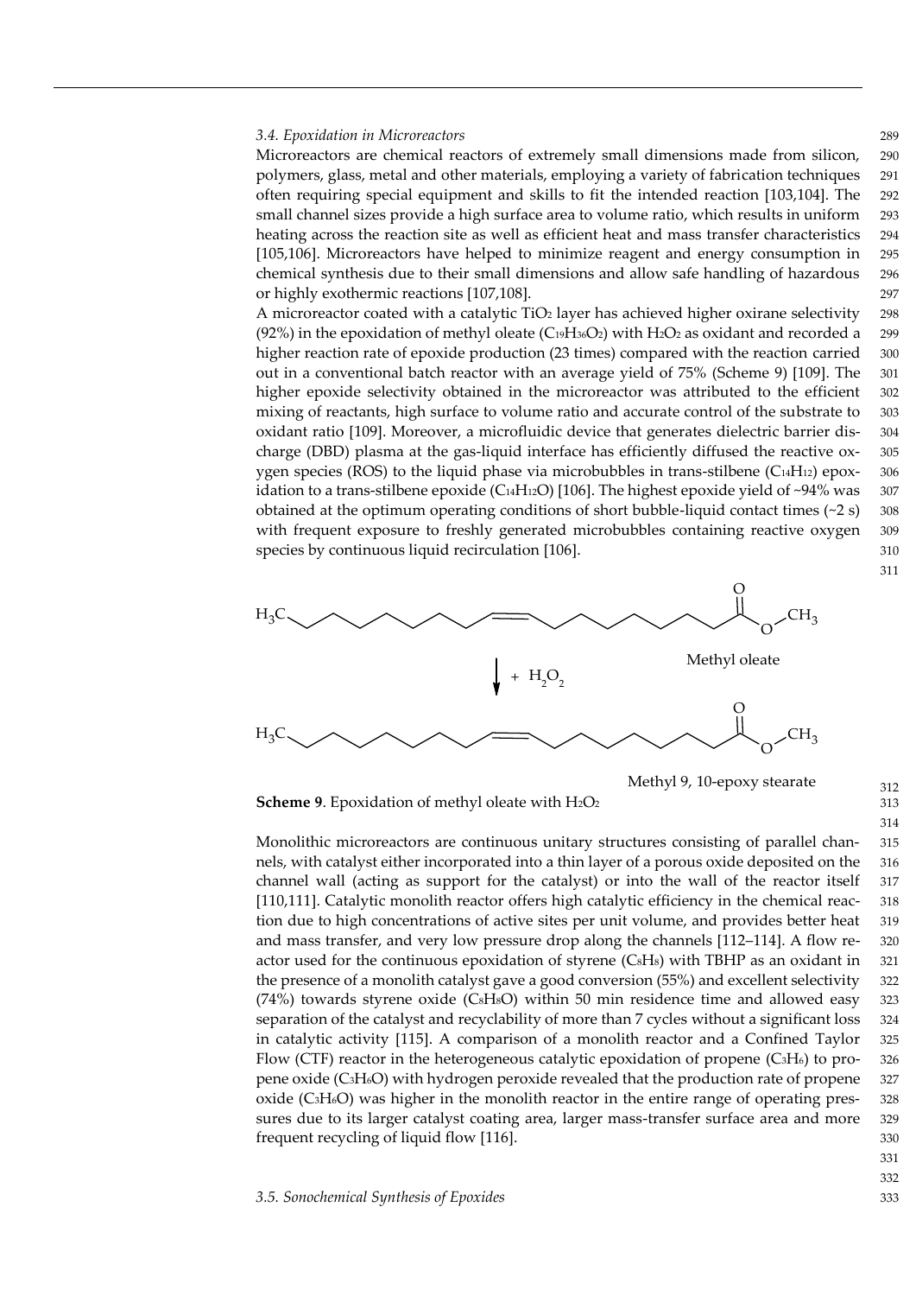#### *3.4. Epoxidation in Microreactors* 289

Microreactors are chemical reactors of extremely small dimensions made from silicon, 290 polymers, glass, metal and other materials, employing a variety of fabrication techniques 291 often requiring special equipment and skills to fit the intended reaction [103,104]. The 292 small channel sizes provide a high surface area to volume ratio, which results in uniform 293 heating across the reaction site as well as efficient heat and mass transfer characteristics 294 [105,106]. Microreactors have helped to minimize reagent and energy consumption in 295 chemical synthesis due to their small dimensions and allow safe handling of hazardous 296 or highly exothermic reactions [107,108]. 297

A microreactor coated with a catalytic  $TiO<sub>2</sub>$  layer has achieved higher oxirane selectivity 298 (92%) in the epoxidation of methyl oleate (C $_{19}H_{36}O_2$ ) with H<sub>2</sub>O<sub>2</sub> as oxidant and recorded a 299 higher reaction rate of epoxide production (23 times) compared with the reaction carried 300 out in a conventional batch reactor with an average yield of 75% (Scheme 9) [109]. The 301 higher epoxide selectivity obtained in the microreactor was attributed to the efficient 302 mixing of reactants, high surface to volume ratio and accurate control of the substrate to 303 oxidant ratio [109]. Moreover, a microfluidic device that generates dielectric barrier dis- 304 charge (DBD) plasma at the gas-liquid interface has efficiently diffused the reactive ox- 305 ygen species (ROS) to the liquid phase via microbubbles in trans-stilbene ( $C_{14}H_{12}$ ) epox- 306 idation to a trans-stilbene epoxide (C<sub>14</sub>H<sub>12</sub>O) [106]. The highest epoxide yield of ~94% was 307 obtained at the optimum operating conditions of short bubble-liquid contact times  $(\sim 2 \text{ s})$  308 with frequent exposure to freshly generated microbubbles containing reactive oxygen 309 species by continuous liquid recirculation [106].  $310$ 



**Scheme 9.** Epoxidation of methyl oleate with H<sub>2</sub>O<sub>2</sub> 313

Monolithic microreactors are continuous unitary structures consisting of parallel chan- 315 nels, with catalyst either incorporated into a thin layer of a porous oxide deposited on the 316 channel wall (acting as support for the catalyst) or into the wall of the reactor itself 317 [110,111]. Catalytic monolith reactor offers high catalytic efficiency in the chemical reac- 318 tion due to high concentrations of active sites per unit volume, and provides better heat 319 and mass transfer, and very low pressure drop along the channels [112–114]. A flow re- 320 actor used for the continuous epoxidation of styrene  $(CsH<sub>s</sub>)$  with TBHP as an oxidant in 321 the presence of a monolith catalyst gave a good conversion (55%) and excellent selectivity 322  $(74%)$  towards styrene oxide (C $sHsO$ ) within 50 min residence time and allowed easy 323 separation of the catalyst and recyclability of more than 7 cycles without a significant loss 324 in catalytic activity [115]. A comparison of a monolith reactor and a Confined Taylor 325 Flow (CTF) reactor in the heterogeneous catalytic epoxidation of propene (C3H6) to pro- 326 pene oxide (C3H6O) with hydrogen peroxide revealed that the production rate of propene 327 oxide (C3H6O) was higher in the monolith reactor in the entire range of operating pres- 328 sures due to its larger catalyst coating area, larger mass-transfer surface area and more 329 frequent recycling of liquid flow [116]. 330

331

311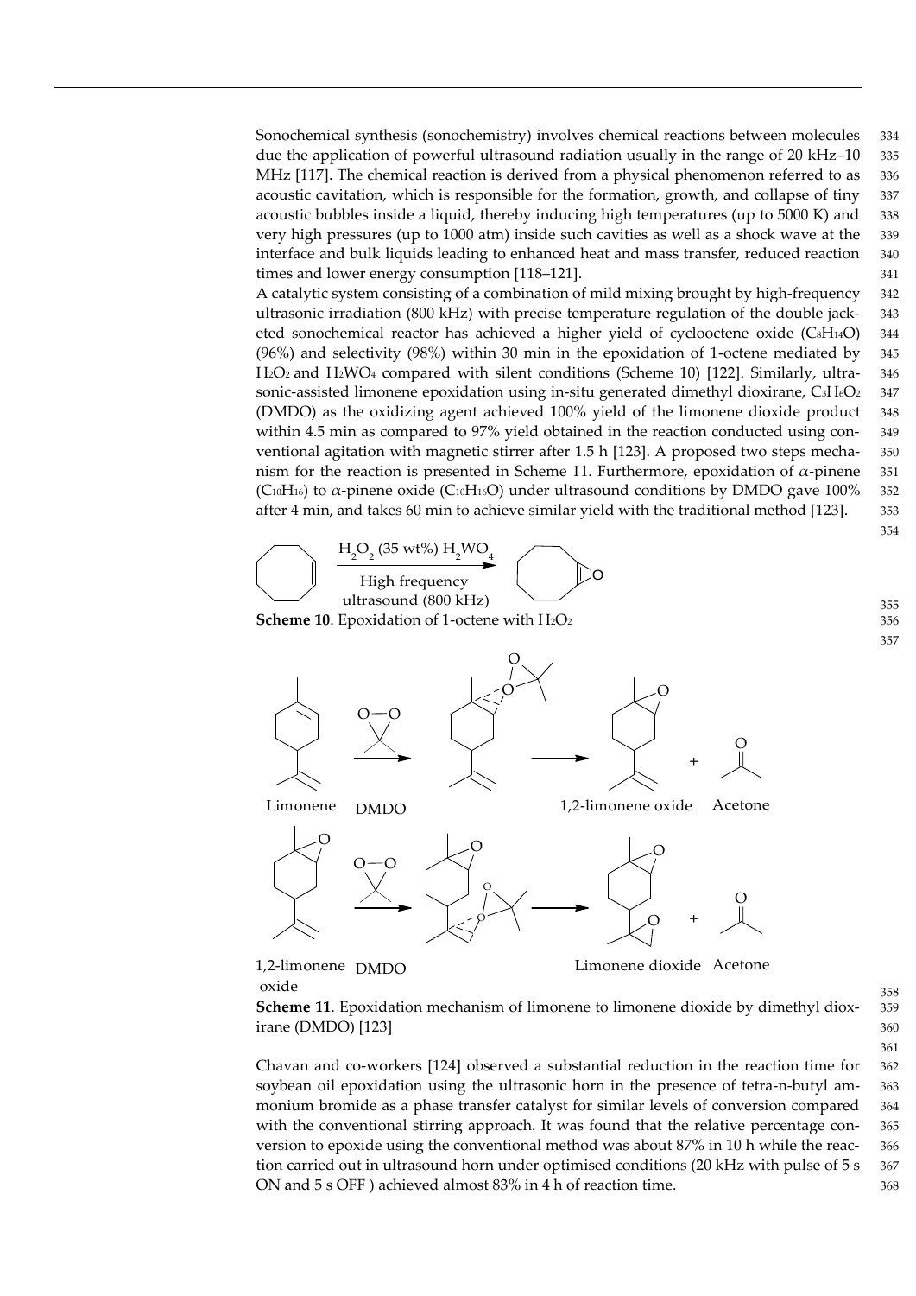Sonochemical synthesis (sonochemistry) involves chemical reactions between molecules 334 due the application of powerful ultrasound radiation usually in the range of 20 kHz–10 335 MHz [117]. The chemical reaction is derived from a physical phenomenon referred to as 336 acoustic cavitation, which is responsible for the formation, growth, and collapse of tiny 337 acoustic bubbles inside a liquid, thereby inducing high temperatures (up to 5000 K) and 338 very high pressures (up to 1000 atm) inside such cavities as well as a shock wave at the 339 interface and bulk liquids leading to enhanced heat and mass transfer, reduced reaction 340 times and lower energy consumption [118–121]. 341

A catalytic system consisting of a combination of mild mixing brought by high-frequency 342 ultrasonic irradiation (800 kHz) with precise temperature regulation of the double jack- 343 eted sonochemical reactor has achieved a higher yield of cyclooctene oxide (CsH14O) 344 (96%) and selectivity (98%) within 30 min in the epoxidation of 1-octene mediated by 345 H2O<sup>2</sup> and H2WO<sup>4</sup> compared with silent conditions (Scheme 10) [122]. Similarly, ultra- 346 sonic-assisted limonene epoxidation using in-situ generated dimethyl dioxirane,  $C_3H_6O_2$  347 (DMDO) as the oxidizing agent achieved 100% yield of the limonene dioxide product 348 within 4.5 min as compared to 97% yield obtained in the reaction conducted using con- 349 ventional agitation with magnetic stirrer after 1.5 h [123]. A proposed two steps mecha- 350 nism for the reaction is presented in Scheme 11. Furthermore, epoxidation of  $α$ -pinene 351 (C<sub>10</sub>H<sub>16</sub>) to  $\alpha$ -pinene oxide (C<sub>10</sub>H<sub>16</sub>O) under ultrasound conditions by DMDO gave 100% 352 after 4 min, and takes 60 min to achieve similar yield with the traditional method [123]. 353



oxide

**Scheme 11**. Epoxidation mechanism of limonene to limonene dioxide by dimethyl diox- 359 irane (DMDO) [123] 360

Chavan and co-workers [124] observed a substantial reduction in the reaction time for 362 soybean oil epoxidation using the ultrasonic horn in the presence of tetra-n-butyl am- 363 monium bromide as a phase transfer catalyst for similar levels of conversion compared 364 with the conventional stirring approach. It was found that the relative percentage con-<br>365 version to epoxide using the conventional method was about 87% in 10 h while the reac- 366 tion carried out in ultrasound horn under optimised conditions (20 kHz with pulse of 5 s 367 ON and 5 s OFF ) achieved almost 83% in 4 h of reaction time. 368

354

355

357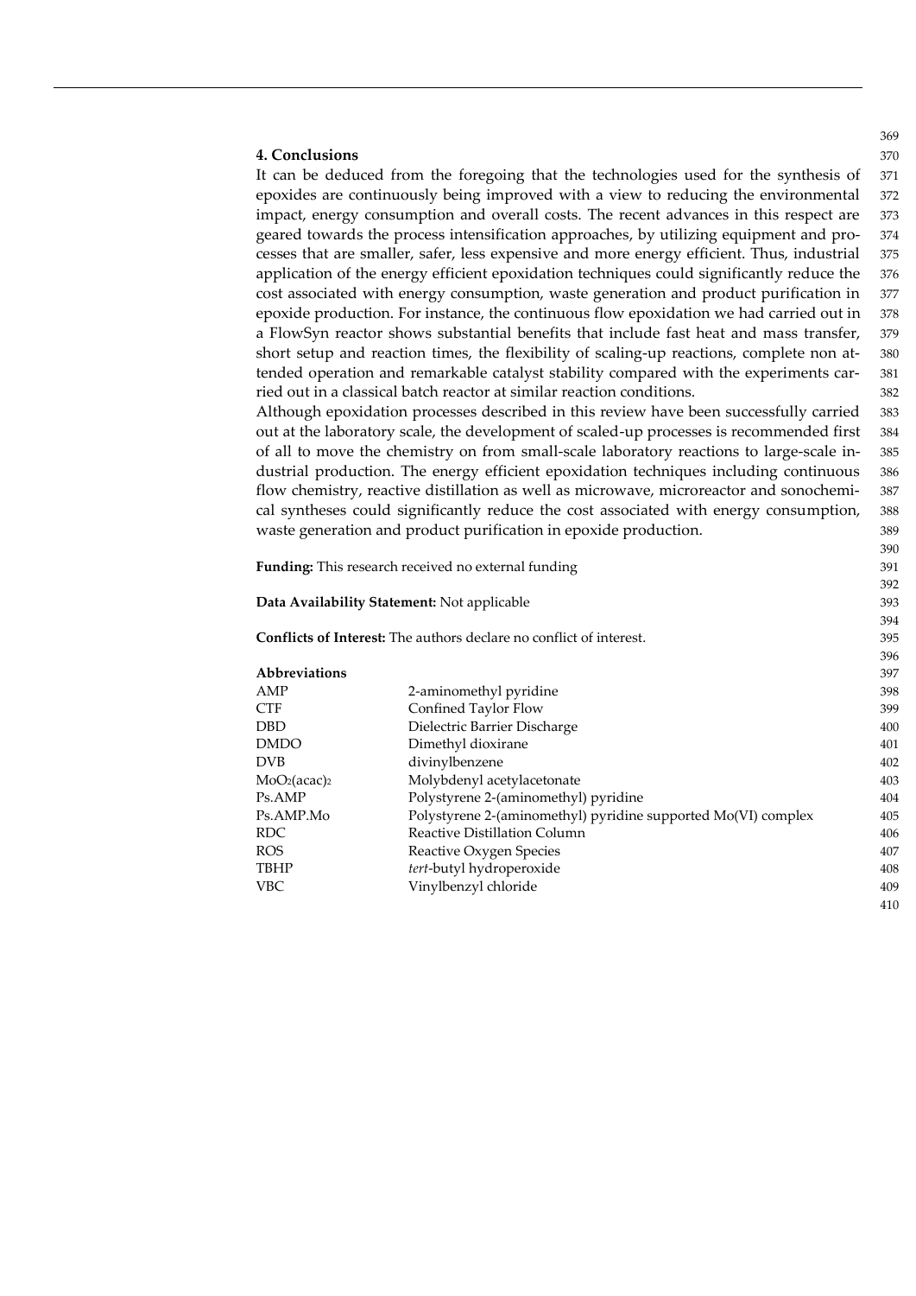### **4. Conclusions** 370

It can be deduced from the foregoing that the technologies used for the synthesis of 371 epoxides are continuously being improved with a view to reducing the environmental 372 impact, energy consumption and overall costs. The recent advances in this respect are 373 geared towards the process intensification approaches, by utilizing equipment and pro- 374 cesses that are smaller, safer, less expensive and more energy efficient. Thus, industrial 375 application of the energy efficient epoxidation techniques could significantly reduce the 376 cost associated with energy consumption, waste generation and product purification in 377 epoxide production. For instance, the continuous flow epoxidation we had carried out in 378 a FlowSyn reactor shows substantial benefits that include fast heat and mass transfer, 379 short setup and reaction times, the flexibility of scaling-up reactions, complete non at- 380 tended operation and remarkable catalyst stability compared with the experiments car- 381 ried out in a classical batch reactor at similar reaction conditions. 382

Although epoxidation processes described in this review have been successfully carried 383 out at the laboratory scale, the development of scaled-up processes is recommended first 384 of all to move the chemistry on from small-scale laboratory reactions to large-scale in- 385 dustrial production. The energy efficient epoxidation techniques including continuous 386 flow chemistry, reactive distillation as well as microwave, microreactor and sonochemi- 387 cal syntheses could significantly reduce the cost associated with energy consumption, 388 waste generation and product purification in epoxide production.  $\frac{389}{2}$ 

| <b>Funding:</b> This research received no external funding |     |
|------------------------------------------------------------|-----|
|                                                            | --- |

**Data Availability Statement:** Not applicable 393

**Conflicts of Interest:** The authors declare no conflict of interest. 395

| Abbreviations                        |                                                               | 397 |
|--------------------------------------|---------------------------------------------------------------|-----|
| AMP                                  | 2-aminomethyl pyridine                                        | 398 |
| CTF                                  | Confined Taylor Flow                                          | 399 |
| DBD                                  | Dielectric Barrier Discharge                                  | 400 |
| <b>DMDO</b>                          | Dimethyl dioxirane                                            | 401 |
| <b>DVB</b>                           | divinylbenzene                                                | 402 |
| MoO <sub>2</sub> (acac) <sub>2</sub> | Molybdenyl acetylacetonate                                    | 403 |
| Ps.AMP                               | Polystyrene 2-(aminomethyl) pyridine                          | 404 |
| Ps.AMP.Mo                            | Polystyrene 2-(aminomethyl) pyridine supported Mo(VI) complex | 405 |
| RDC.                                 | Reactive Distillation Column                                  | 406 |
| <b>ROS</b>                           | Reactive Oxygen Species                                       | 407 |
| TBHP                                 | tert-butyl hydroperoxide                                      | 408 |
| <b>VBC</b>                           | Vinylbenzyl chloride                                          | 409 |
|                                      |                                                               | 410 |

369

390

392

394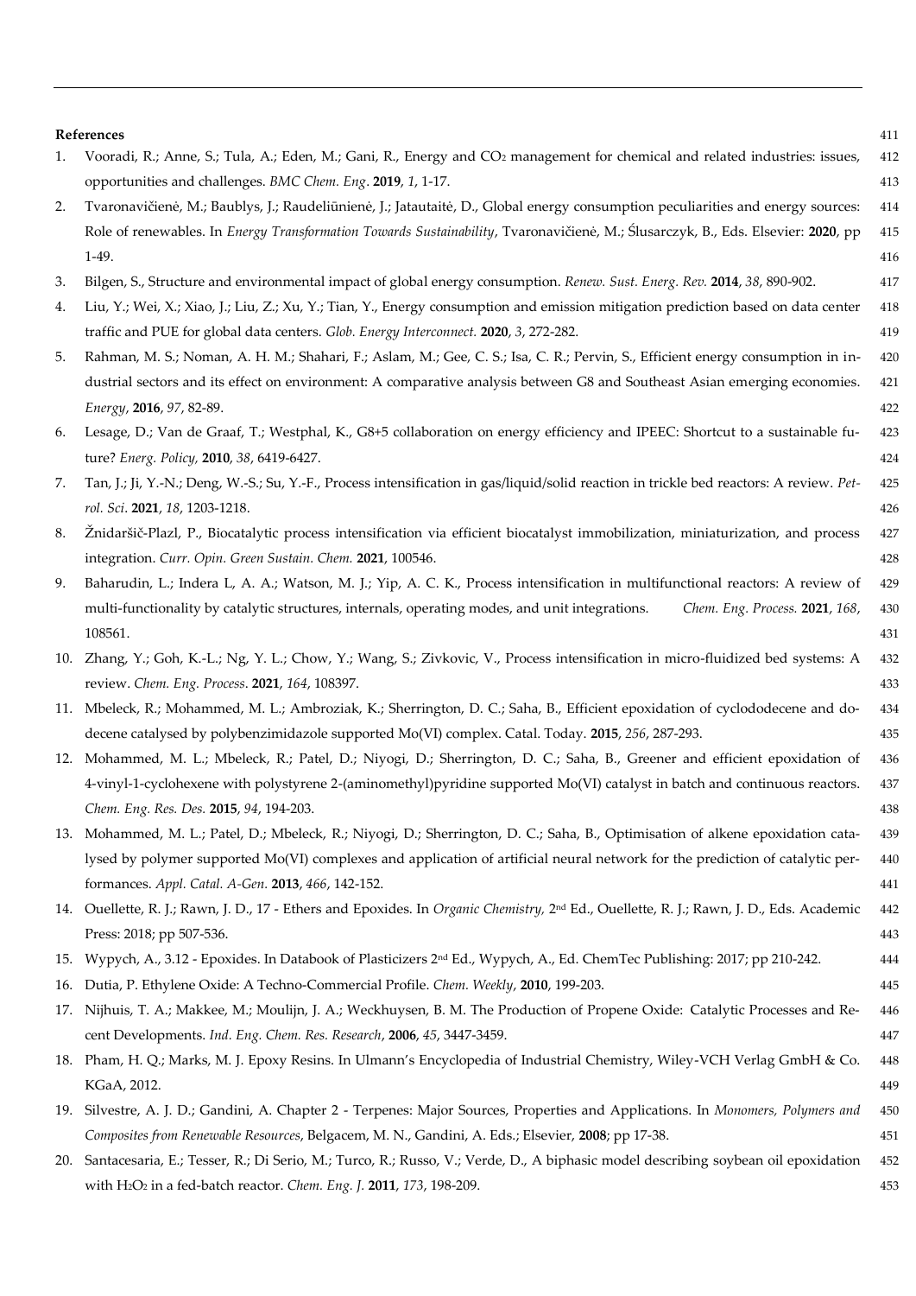## **References** 411

| 1.  | Vooradi, R.; Anne, S.; Tula, A.; Eden, M.; Gani, R., Energy and CO <sub>2</sub> management for chemical and related industries: issues,              | 412 |
|-----|------------------------------------------------------------------------------------------------------------------------------------------------------|-----|
|     | opportunities and challenges. BMC Chem. Eng. 2019, 1, 1-17.                                                                                          | 413 |
| 2.  | Tvaronavičienė, M.; Baublys, J.; Raudeliūnienė, J.; Jatautaitė, D., Global energy consumption peculiarities and energy sources:                      | 414 |
|     | Role of renewables. In <i>Energy Transformation Towards Sustainability</i> , Tvaronavičienė, M.; Ślusarczyk, B., Eds. Elsevier: 2020, pp             | 415 |
|     | $1-49.$                                                                                                                                              | 416 |
| 3.  | Bilgen, S., Structure and environmental impact of global energy consumption. Renew. Sust. Energ. Rev. 2014, 38, 890-902.                             | 417 |
| 4.  | Liu, Y.; Wei, X.; Xiao, J.; Liu, Z.; Xu, Y.; Tian, Y., Energy consumption and emission mitigation prediction based on data center                    | 418 |
|     | traffic and PUE for global data centers. Glob. Energy Interconnect. 2020, 3, 272-282.                                                                | 419 |
| 5.  | Rahman, M. S.; Noman, A. H. M.; Shahari, F.; Aslam, M.; Gee, C. S.; Isa, C. R.; Pervin, S., Efficient energy consumption in in-                      | 420 |
|     | dustrial sectors and its effect on environment: A comparative analysis between G8 and Southeast Asian emerging economies.                            | 421 |
|     | Energy, 2016, 97, 82-89.                                                                                                                             | 422 |
| 6.  | Lesage, D.; Van de Graaf, T.; Westphal, K., G8+5 collaboration on energy efficiency and IPEEC: Shortcut to a sustainable fu-                         | 423 |
|     | ture? Energ. Policy, 2010, 38, 6419-6427.                                                                                                            | 424 |
| 7.  | Tan, J.; Ji, Y.-N.; Deng, W.-S.; Su, Y.-F., Process intensification in gas/liquid/solid reaction in trickle bed reactors: A review. Pet-             | 425 |
|     | rol. Sci. 2021, 18, 1203-1218.                                                                                                                       | 426 |
| 8.  | Žnidaršič-Plazl, P., Biocatalytic process intensification via efficient biocatalyst immobilization, miniaturization, and process                     | 427 |
|     | integration. Curr. Opin. Green Sustain. Chem. 2021, 100546.                                                                                          | 428 |
| 9.  | Baharudin, L.; Indera L, A. A.; Watson, M. J.; Yip, A. C. K., Process intensification in multifunctional reactors: A review of                       | 429 |
|     | multi-functionality by catalytic structures, internals, operating modes, and unit integrations.<br>Chem. Eng. Process. 2021, 168,                    | 430 |
|     | 108561.                                                                                                                                              | 431 |
|     | 10. Zhang, Y.; Goh, K.-L.; Ng, Y. L.; Chow, Y.; Wang, S.; Zivkovic, V., Process intensification in micro-fluidized bed systems: A                    | 432 |
|     | review. Chem. Eng. Process. 2021, 164, 108397.                                                                                                       | 433 |
|     | 11. Mbeleck, R.; Mohammed, M. L.; Ambroziak, K.; Sherrington, D. C.; Saha, B., Efficient epoxidation of cyclododecene and do-                        | 434 |
|     | decene catalysed by polybenzimidazole supported Mo(VI) complex. Catal. Today. 2015, 256, 287-293.                                                    | 435 |
|     | 12. Mohammed, M. L.; Mbeleck, R.; Patel, D.; Niyogi, D.; Sherrington, D. C.; Saha, B., Greener and efficient epoxidation of                          | 436 |
|     | 4-vinyl-1-cyclohexene with polystyrene 2-(aminomethyl)pyridine supported Mo(VI) catalyst in batch and continuous reactors.                           | 437 |
|     | Chem. Eng. Res. Des. 2015, 94, 194-203.                                                                                                              | 438 |
|     | 13. Mohammed, M. L.; Patel, D.; Mbeleck, R.; Niyogi, D.; Sherrington, D. C.; Saha, B., Optimisation of alkene epoxidation cata-                      | 439 |
|     | lysed by polymer supported Mo(VI) complexes and application of artificial neural network for the prediction of catalytic per-                        | 440 |
|     | formances. Appl. Catal. A-Gen. 2013, 466, 142-152.                                                                                                   | 441 |
|     | 14. Ouellette, R. J.; Rawn, J. D., 17 - Ethers and Epoxides. In Organic Chemistry, 2 <sup>nd</sup> Ed., Ouellette, R. J.; Rawn, J. D., Eds. Academic | 442 |
|     | Press: 2018; pp 507-536.                                                                                                                             | 443 |
| 15. | Wypych, A., 3.12 - Epoxides. In Databook of Plasticizers 2 <sup>nd</sup> Ed., Wypych, A., Ed. ChemTec Publishing: 2017; pp 210-242.                  | 444 |
|     | 16. Dutia, P. Ethylene Oxide: A Techno-Commercial Profile. Chem. Weekly, 2010, 199-203.                                                              | 445 |
|     | 17. Nijhuis, T. A.; Makkee, M.; Moulijn, J. A.; Weckhuysen, B. M. The Production of Propene Oxide: Catalytic Processes and Re-                       | 446 |
|     | cent Developments. Ind. Eng. Chem. Res. Research, 2006, 45, 3447-3459.                                                                               | 447 |
|     | 18. Pham, H. Q.; Marks, M. J. Epoxy Resins. In Ulmann's Encyclopedia of Industrial Chemistry, Wiley-VCH Verlag GmbH & Co.                            | 448 |
|     | KGaA, 2012.                                                                                                                                          | 449 |
| 19. | Silvestre, A. J. D.; Gandini, A. Chapter 2 - Terpenes: Major Sources, Properties and Applications. In Monomers, Polymers and                         | 450 |
|     | Composites from Renewable Resources, Belgacem, M. N., Gandini, A. Eds.; Elsevier, 2008; pp 17-38.                                                    | 451 |
| 20. | Santacesaria, E.; Tesser, R.; Di Serio, M.; Turco, R.; Russo, V.; Verde, D., A biphasic model describing soybean oil epoxidation                     | 452 |
|     | with H <sub>2</sub> O <sub>2</sub> in a fed-batch reactor. Chem. Eng. J. 2011, 173, 198-209.                                                         | 453 |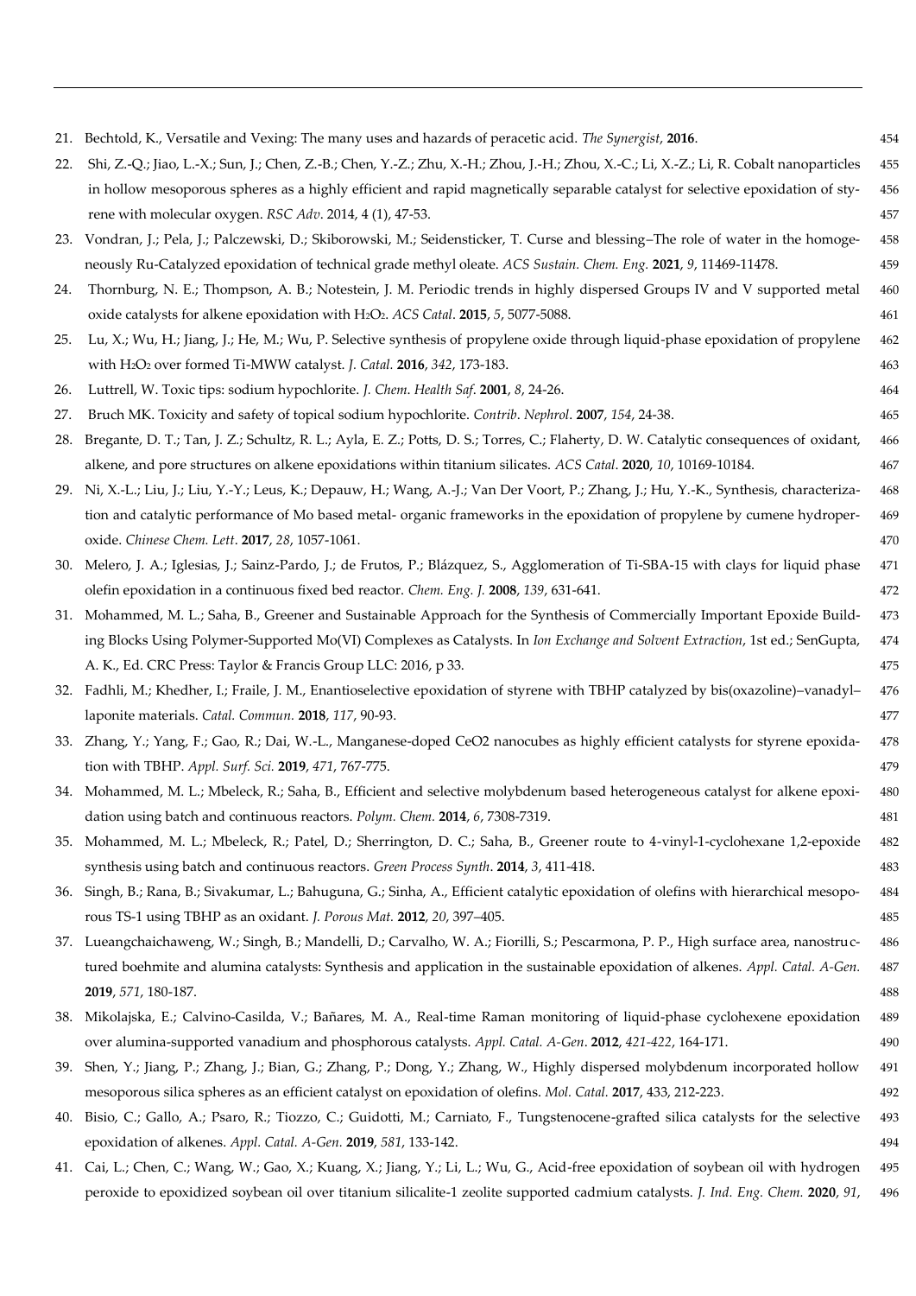| 21. | Bechtold, K., Versatile and Vexing: The many uses and hazards of peracetic acid. The Synergist, 2016.                                    | 454 |
|-----|------------------------------------------------------------------------------------------------------------------------------------------|-----|
| 22. | Shi, Z.-Q.; Jiao, L.-X.; Sun, J.; Chen, Z.-B.; Chen, Y.-Z.; Zhu, X.-H.; Zhou, J.-H.; Zhou, X.-C.; Li, X.-Z.; Li, R. Cobalt nanoparticles | 455 |
|     | in hollow mesoporous spheres as a highly efficient and rapid magnetically separable catalyst for selective epoxidation of sty-           | 456 |
|     | rene with molecular oxygen. RSC Adv. 2014, 4 (1), 47-53.                                                                                 | 457 |
|     | 23. Vondran, J.; Pela, J.; Palczewski, D.; Skiborowski, M.; Seidensticker, T. Curse and blessing-The role of water in the homoge-        | 458 |
|     | neously Ru-Catalyzed epoxidation of technical grade methyl oleate. ACS Sustain. Chem. Eng. 2021, 9, 11469-11478.                         | 459 |
| 24. | Thornburg, N. E.; Thompson, A. B.; Notestein, J. M. Periodic trends in highly dispersed Groups IV and V supported metal                  | 460 |
|     | oxide catalysts for alkene epoxidation with H2O2. ACS Catal. 2015, 5, 5077-5088.                                                         | 461 |
| 25. | Lu, X.; Wu, H.; Jiang, J.; He, M.; Wu, P. Selective synthesis of propylene oxide through liquid-phase epoxidation of propylene           | 462 |
|     | with H2O2 over formed Ti-MWW catalyst. J. Catal. 2016, 342, 173-183.                                                                     | 463 |
| 26. | Luttrell, W. Toxic tips: sodium hypochlorite. J. Chem. Health Saf. 2001, 8, 24-26.                                                       | 464 |
| 27. | Bruch MK. Toxicity and safety of topical sodium hypochlorite. Contrib. Nephrol. 2007, 154, 24-38.                                        | 465 |
| 28. | Bregante, D. T.; Tan, J. Z.; Schultz, R. L.; Ayla, E. Z.; Potts, D. S.; Torres, C.; Flaherty, D. W. Catalytic consequences of oxidant,   | 466 |
|     | alkene, and pore structures on alkene epoxidations within titanium silicates. ACS Catal. 2020, 10, 10169-10184.                          | 467 |
|     | 29. Ni, X.-L.; Liu, J.; Liu, Y.-Y.; Leus, K.; Depauw, H.; Wang, A.-J.; Van Der Voort, P.; Zhang, J.; Hu, Y.-K., Synthesis, characteriza- | 468 |
|     | tion and catalytic performance of Mo based metal- organic frameworks in the epoxidation of propylene by cumene hydroper-                 | 469 |
|     | oxide. Chinese Chem. Lett. 2017, 28, 1057-1061.                                                                                          | 470 |
|     | 30. Melero, J. A.; Iglesias, J.; Sainz-Pardo, J.; de Frutos, P.; Blázquez, S., Agglomeration of Ti-SBA-15 with clays for liquid phase    | 471 |
|     | olefin epoxidation in a continuous fixed bed reactor. Chem. Eng. J. 2008, 139, 631-641.                                                  | 472 |
|     | 31. Mohammed, M. L.; Saha, B., Greener and Sustainable Approach for the Synthesis of Commercially Important Epoxide Build-               | 473 |
|     | ing Blocks Using Polymer-Supported Mo(VI) Complexes as Catalysts. In Ion Exchange and Solvent Extraction, 1st ed.; SenGupta,             | 474 |
|     | A. K., Ed. CRC Press: Taylor & Francis Group LLC: 2016, p 33.                                                                            | 475 |
|     | 32. Fadhli, M.; Khedher, I.; Fraile, J. M., Enantioselective epoxidation of styrene with TBHP catalyzed by bis(oxazoline)-vanadyl-       | 476 |
|     | laponite materials. Catal. Commun. 2018, 117, 90-93.                                                                                     | 477 |
|     | 33. Zhang, Y.; Yang, F.; Gao, R.; Dai, W.-L., Manganese-doped CeO2 nanocubes as highly efficient catalysts for styrene epoxida-          | 478 |
|     | tion with TBHP. Appl. Surf. Sci. 2019, 471, 767-775.                                                                                     | 479 |
|     | 34. Mohammed, M. L.; Mbeleck, R.; Saha, B., Efficient and selective molybdenum based heterogeneous catalyst for alkene epoxi-            | 480 |
|     | dation using batch and continuous reactors. Polym. Chem. 2014, 6, 7308-7319.                                                             | 481 |
|     | 35. Mohammed, M. L.; Mbeleck, R.; Patel, D.; Sherrington, D. C.; Saha, B., Greener route to 4-vinyl-1-cyclohexane 1,2-epoxide            | 482 |
|     | synthesis using batch and continuous reactors. Green Process Synth. 2014, 3, 411-418.                                                    | 483 |
| 36. | Singh, B.; Rana, B.; Sivakumar, L.; Bahuguna, G.; Sinha, A., Efficient catalytic epoxidation of olefins with hierarchical mesopo-        | 484 |
|     | rous TS-1 using TBHP as an oxidant. J. Porous Mat. 2012, 20, 397-405.                                                                    | 485 |
|     | 37. Lueangchaichaweng, W.; Singh, B.; Mandelli, D.; Carvalho, W. A.; Fiorilli, S.; Pescarmona, P. P., High surface area, nanostruc-      | 486 |
|     | tured boehmite and alumina catalysts: Synthesis and application in the sustainable epoxidation of alkenes. Appl. Catal. A-Gen.           | 487 |
|     | 2019, 571, 180-187.                                                                                                                      | 488 |
|     | 38. Mikolajska, E.; Calvino-Casilda, V.; Bañares, M. A., Real-time Raman monitoring of liquid-phase cyclohexene epoxidation              | 489 |
|     | over alumina-supported vanadium and phosphorous catalysts. Appl. Catal. A-Gen. 2012, 421-422, 164-171.                                   | 490 |
| 39. | Shen, Y.; Jiang, P.; Zhang, J.; Bian, G.; Zhang, P.; Dong, Y.; Zhang, W., Highly dispersed molybdenum incorporated hollow                | 491 |
|     | mesoporous silica spheres as an efficient catalyst on epoxidation of olefins. Mol. Catal. 2017, 433, 212-223.                            | 492 |
|     | 40. Bisio, C.; Gallo, A.; Psaro, R.; Tiozzo, C.; Guidotti, M.; Carniato, F., Tungstenocene-grafted silica catalysts for the selective    | 493 |
|     | epoxidation of alkenes. Appl. Catal. A-Gen. 2019, 581, 133-142.                                                                          | 494 |
| 41. | Cai, L.; Chen, C.; Wang, W.; Gao, X.; Kuang, X.; Jiang, Y.; Li, L.; Wu, G., Acid-free epoxidation of soybean oil with hydrogen           | 495 |

peroxide to epoxidized soybean oil over titanium silicalite-1 zeolite supported cadmium catalysts. *J. Ind. Eng. Chem.* **2020**, *91*, 496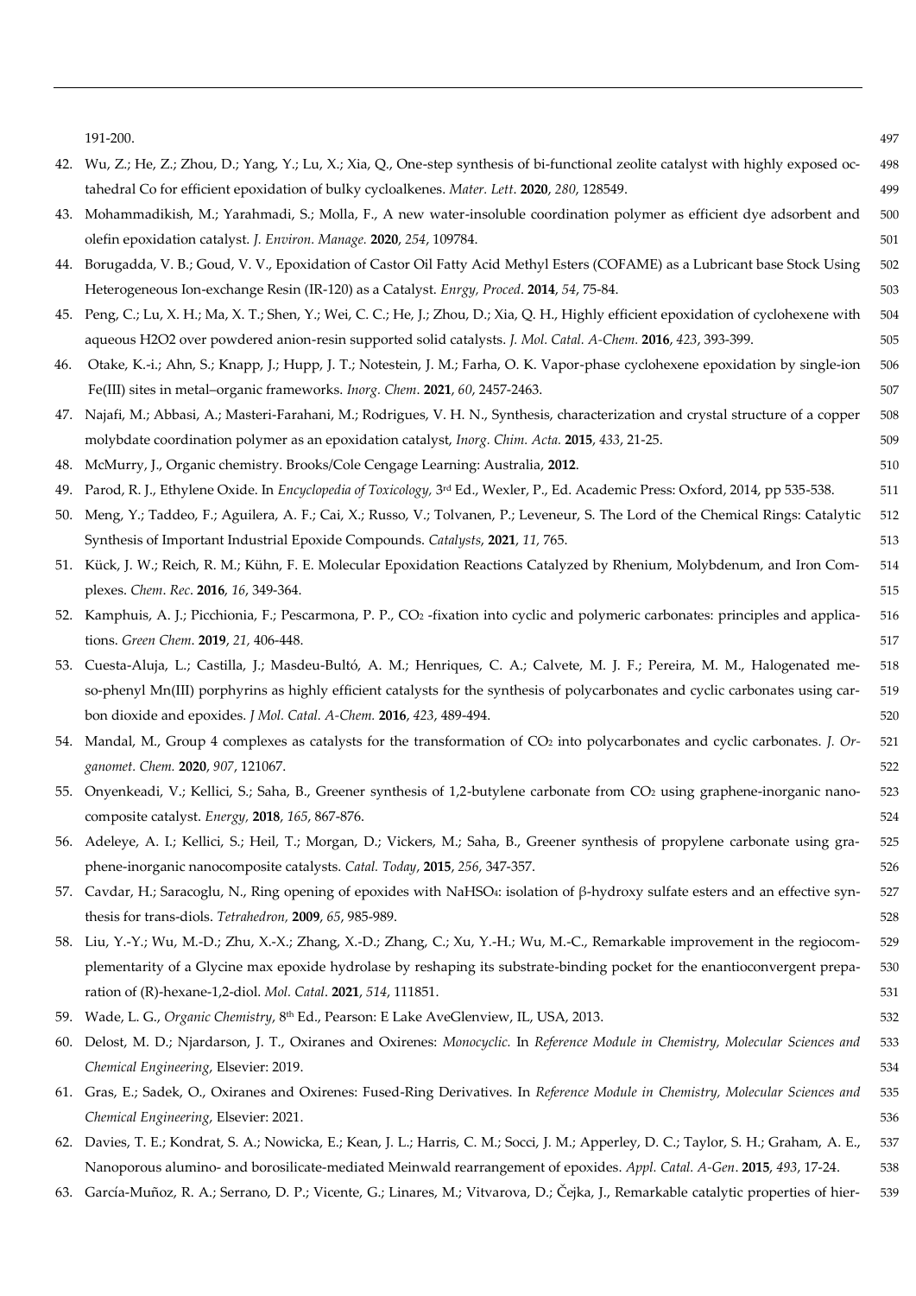|     | 191-200.                                                                                                                                        | 497 |
|-----|-------------------------------------------------------------------------------------------------------------------------------------------------|-----|
| 42. | Wu, Z.; He, Z.; Zhou, D.; Yang, Y.; Lu, X.; Xia, Q., One-step synthesis of bi-functional zeolite catalyst with highly exposed oc-               | 498 |
|     | tahedral Co for efficient epoxidation of bulky cycloalkenes. Mater. Lett. 2020, 280, 128549.                                                    | 499 |
| 43. | Mohammadikish, M.; Yarahmadi, S.; Molla, F., A new water-insoluble coordination polymer as efficient dye adsorbent and                          | 500 |
|     | olefin epoxidation catalyst. J. Environ. Manage. 2020, 254, 109784.                                                                             | 501 |
| 44. | Borugadda, V. B.; Goud, V. V., Epoxidation of Castor Oil Fatty Acid Methyl Esters (COFAME) as a Lubricant base Stock Using                      | 502 |
|     | Heterogeneous Ion-exchange Resin (IR-120) as a Catalyst. Enrgy, Proced. 2014, 54, 75-84.                                                        | 503 |
|     | 45. Peng, C.; Lu, X. H.; Ma, X. T.; Shen, Y.; Wei, C. C.; He, J.; Zhou, D.; Xia, Q. H., Highly efficient epoxidation of cyclohexene with        | 504 |
|     | aqueous H2O2 over powdered anion-resin supported solid catalysts. J. Mol. Catal. A-Chem. 2016, 423, 393-399.                                    | 505 |
| 46. | Otake, K.-i.; Ahn, S.; Knapp, J.; Hupp, J. T.; Notestein, J. M.; Farha, O. K. Vapor-phase cyclohexene epoxidation by single-ion                 | 506 |
|     | Fe(III) sites in metal-organic frameworks. Inorg. Chem. 2021, 60, 2457-2463.                                                                    | 507 |
| 47. | Najafi, M.; Abbasi, A.; Masteri-Farahani, M.; Rodrigues, V. H. N., Synthesis, characterization and crystal structure of a copper                | 508 |
|     | molybdate coordination polymer as an epoxidation catalyst, Inorg. Chim. Acta. 2015, 433, 21-25.                                                 | 509 |
| 48. | McMurry, J., Organic chemistry. Brooks/Cole Cengage Learning: Australia, 2012.                                                                  | 510 |
| 49. | Parod, R. J., Ethylene Oxide. In Encyclopedia of Toxicology, 3rd Ed., Wexler, P., Ed. Academic Press: Oxford, 2014, pp 535-538.                 | 511 |
| 50. | Meng, Y.; Taddeo, F.; Aguilera, A. F.; Cai, X.; Russo, V.; Tolvanen, P.; Leveneur, S. The Lord of the Chemical Rings: Catalytic                 | 512 |
|     | Synthesis of Important Industrial Epoxide Compounds. Catalysts, 2021, 11, 765.                                                                  | 513 |
|     | 51. Kück, J. W.; Reich, R. M.; Kühn, F. E. Molecular Epoxidation Reactions Catalyzed by Rhenium, Molybdenum, and Iron Com-                      | 514 |
|     | plexes. Chem. Rec. 2016, 16, 349-364.                                                                                                           | 515 |
|     | 52. Kamphuis, A. J.; Picchionia, F.; Pescarmona, P. P., CO <sub>2</sub> -fixation into cyclic and polymeric carbonates: principles and applica- | 516 |
|     | tions. Green Chem. 2019, 21, 406-448.                                                                                                           | 517 |
|     | 53. Cuesta-Aluja, L.; Castilla, J.; Masdeu-Bultó, A. M.; Henriques, C. A.; Calvete, M. J. F.; Pereira, M. M., Halogenated me-                   | 518 |
|     | so-phenyl Mn(III) porphyrins as highly efficient catalysts for the synthesis of polycarbonates and cyclic carbonates using car-                 | 519 |
|     | bon dioxide and epoxides. J Mol. Catal. A-Chem. 2016, 423, 489-494.                                                                             | 520 |
|     | 54. Mandal, M., Group 4 complexes as catalysts for the transformation of CO2 into polycarbonates and cyclic carbonates. J. Or-                  | 521 |
|     | ganomet. Chem. 2020, 907, 121067.                                                                                                               | 522 |
| 55. | Onyenkeadi, V.; Kellici, S.; Saha, B., Greener synthesis of 1,2-butylene carbonate from CO2 using graphene-inorganic nano-                      | 523 |
|     | composite catalyst. Energy, 2018, 165, 867-876.                                                                                                 | 524 |
|     | 56. Adeleye, A. I.; Kellici, S.; Heil, T.; Morgan, D.; Vickers, M.; Saha, B., Greener synthesis of propylene carbonate using gra-               | 525 |
|     | phene-inorganic nanocomposite catalysts. Catal. Today, 2015, 256, 347-357.                                                                      | 526 |
|     | 57. Cavdar, H.; Saracoglu, N., Ring opening of epoxides with NaHSO4: isolation of $\beta$ -hydroxy sulfate esters and an effective syn-         | 527 |
|     | thesis for trans-diols. Tetrahedron, 2009, 65, 985-989.                                                                                         | 528 |
|     | 58. Liu, Y.-Y.; Wu, M.-D.; Zhu, X.-X.; Zhang, X.-D.; Zhang, C.; Xu, Y.-H.; Wu, M.-C., Remarkable improvement in the regiocom-                   | 529 |
|     | plementarity of a Glycine max epoxide hydrolase by reshaping its substrate-binding pocket for the enantioconvergent prepa-                      | 530 |
|     | ration of (R)-hexane-1,2-diol. Mol. Catal. 2021, 514, 111851.                                                                                   | 531 |
|     | 59. Wade, L. G., Organic Chemistry, 8th Ed., Pearson: E Lake AveGlenview, IL, USA, 2013.                                                        | 532 |
|     | 60. Delost, M. D.; Njardarson, J. T., Oxiranes and Oxirenes: Monocyclic. In Reference Module in Chemistry, Molecular Sciences and               | 533 |
|     | Chemical Engineering, Elsevier: 2019.                                                                                                           | 534 |
|     | 61. Gras, E.; Sadek, O., Oxiranes and Oxirenes: Fused-Ring Derivatives. In Reference Module in Chemistry, Molecular Sciences and                | 535 |
|     | Chemical Engineering, Elsevier: 2021.                                                                                                           | 536 |
| 62. | Davies, T. E.; Kondrat, S. A.; Nowicka, E.; Kean, J. L.; Harris, C. M.; Socci, J. M.; Apperley, D. C.; Taylor, S. H.; Graham, A. E.,            | 537 |
|     | Nanoporous alumino- and borosilicate-mediated Meinwald rearrangement of epoxides. Appl. Catal. A-Gen. 2015, 493, 17-24.                         | 538 |
|     |                                                                                                                                                 |     |

63. García-Muñoz, R. A.; Serrano, D. P.; Vicente, G.; Linares, M.; Vitvarova, D.; Čejka, J., Remarkable catalytic properties of hier- 539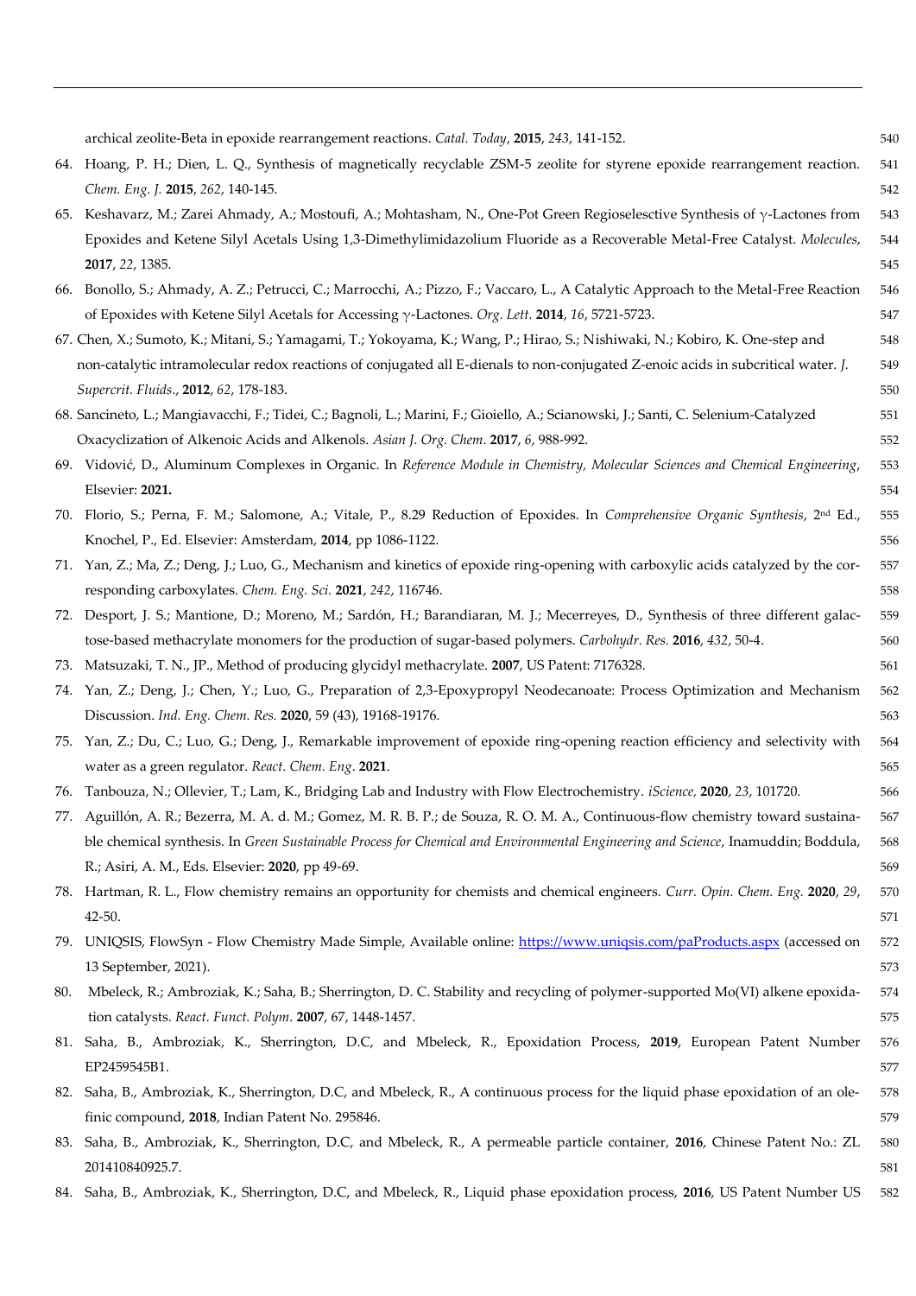|     | archical zeolite-Beta in epoxide rearrangement reactions. Catal. Today, 2015, 243, 141-152.                                                  | 540 |
|-----|----------------------------------------------------------------------------------------------------------------------------------------------|-----|
|     | 64. Hoang, P. H.; Dien, L. Q., Synthesis of magnetically recyclable ZSM-5 zeolite for styrene epoxide rearrangement reaction.                | 541 |
|     | Chem. Eng. J. 2015, 262, 140-145.                                                                                                            | 542 |
|     | 65. Keshavarz, M.; Zarei Ahmady, A.; Mostoufi, A.; Mohtasham, N., One-Pot Green Regioselesctive Synthesis of y-Lactones from                 | 543 |
|     | Epoxides and Ketene Silyl Acetals Using 1,3-Dimethylimidazolium Fluoride as a Recoverable Metal-Free Catalyst. Molecules,                    | 544 |
|     | 2017, 22, 1385.                                                                                                                              | 545 |
|     | 66. Bonollo, S.; Ahmady, A. Z.; Petrucci, C.; Marrocchi, A.; Pizzo, F.; Vaccaro, L., A Catalytic Approach to the Metal-Free Reaction         | 546 |
|     | of Epoxides with Ketene Silyl Acetals for Accessing $\gamma$ -Lactones. Org. Lett. 2014, 16, 5721-5723.                                      | 547 |
|     | 67. Chen, X.; Sumoto, K.; Mitani, S.; Yamagami, T.; Yokoyama, K.; Wang, P.; Hirao, S.; Nishiwaki, N.; Kobiro, K. One-step and                | 548 |
|     | non-catalytic intramolecular redox reactions of conjugated all E-dienals to non-conjugated Z-enoic acids in subcritical water. J.            | 549 |
|     | Supercrit. Fluids., 2012, 62, 178-183.                                                                                                       | 550 |
|     | 68. Sancineto, L.; Mangiavacchi, F.; Tidei, C.; Bagnoli, L.; Marini, F.; Gioiello, A.; Scianowski, J.; Santi, C. Selenium-Catalyzed          | 551 |
|     | Oxacyclization of Alkenoic Acids and Alkenols. Asian J. Org. Chem. 2017, 6, 988-992.                                                         | 552 |
|     | 69. Vidović, D., Aluminum Complexes in Organic. In Reference Module in Chemistry, Molecular Sciences and Chemical Engineering,               | 553 |
|     | Elsevier: 2021.                                                                                                                              | 554 |
|     | 70. Florio, S.; Perna, F. M.; Salomone, A.; Vitale, P., 8.29 Reduction of Epoxides. In Comprehensive Organic Synthesis, 2 <sup>nd</sup> Ed., | 555 |
|     | Knochel, P., Ed. Elsevier: Amsterdam, 2014, pp 1086-1122.                                                                                    | 556 |
|     | 71. Yan, Z.; Ma, Z.; Deng, J.; Luo, G., Mechanism and kinetics of epoxide ring-opening with carboxylic acids catalyzed by the cor-           | 557 |
|     | responding carboxylates. Chem. Eng. Sci. 2021, 242, 116746.                                                                                  | 558 |
|     | 72. Desport, J. S.; Mantione, D.; Moreno, M.; Sardón, H.; Barandiaran, M. J.; Mecerreyes, D., Synthesis of three different galac-            | 559 |
|     | tose-based methacrylate monomers for the production of sugar-based polymers. Carbohydr. Res. 2016, 432, 50-4.                                | 560 |
| 73. | Matsuzaki, T. N., JP., Method of producing glycidyl methacrylate. 2007, US Patent: 7176328.                                                  | 561 |
|     | 74. Yan, Z.; Deng, J.; Chen, Y.; Luo, G., Preparation of 2,3-Epoxypropyl Neodecanoate: Process Optimization and Mechanism                    | 562 |
|     | Discussion. Ind. Eng. Chem. Res. 2020, 59 (43), 19168-19176.                                                                                 | 563 |
|     | 75. Yan, Z.; Du, C.; Luo, G.; Deng, J., Remarkable improvement of epoxide ring-opening reaction efficiency and selectivity with              | 564 |
|     | water as a green regulator. React. Chem. Eng. 2021.                                                                                          | 565 |
|     | 76. Tanbouza, N.; Ollevier, T.; Lam, K., Bridging Lab and Industry with Flow Electrochemistry. iScience, 2020, 23, 101720.                   | 566 |
|     | 77. Aguillón, A. R.; Bezerra, M. A. d. M.; Gomez, M. R. B. P.; de Souza, R. O. M. A., Continuous-flow chemistry toward sustaina-             | 567 |
|     | ble chemical synthesis. In Green Sustainable Process for Chemical and Environmental Engineering and Science, Inamuddin; Boddula,             | 568 |
|     | R.; Asiri, A. M., Eds. Elsevier: 2020, pp 49-69.                                                                                             | 569 |
|     | 78. Hartman, R. L., Flow chemistry remains an opportunity for chemists and chemical engineers. Curr. Opin. Chem. Eng. 2020, 29,              | 570 |
|     | 42-50.                                                                                                                                       | 571 |
|     | 79. UNIQSIS, FlowSyn - Flow Chemistry Made Simple, Available online: https://www.uniqsis.com/paProducts.aspx (accessed on                    | 572 |
|     | 13 September, 2021).                                                                                                                         | 573 |
| 80. | Mbeleck, R.; Ambroziak, K.; Saha, B.; Sherrington, D. C. Stability and recycling of polymer-supported Mo(VI) alkene epoxida-                 | 574 |
|     | tion catalysts. React. Funct. Polym. 2007, 67, 1448-1457.                                                                                    | 575 |
|     | 81. Saha, B., Ambroziak, K., Sherrington, D.C, and Mbeleck, R., Epoxidation Process, 2019, European Patent Number                            | 576 |
|     | EP2459545B1.                                                                                                                                 | 577 |
| 82. | Saha, B., Ambroziak, K., Sherrington, D.C, and Mbeleck, R., A continuous process for the liquid phase epoxidation of an ole-                 | 578 |
|     | finic compound, 2018, Indian Patent No. 295846.                                                                                              | 579 |
| 83. | Saha, B., Ambroziak, K., Sherrington, D.C, and Mbeleck, R., A permeable particle container, 2016, Chinese Patent No.: ZL                     | 580 |
|     | 201410840925.7.                                                                                                                              | 581 |

<sup>84.</sup> Saha, B., Ambroziak, K., Sherrington, D.C, and Mbeleck, R., Liquid phase epoxidation process, **2016**, US Patent Number US 582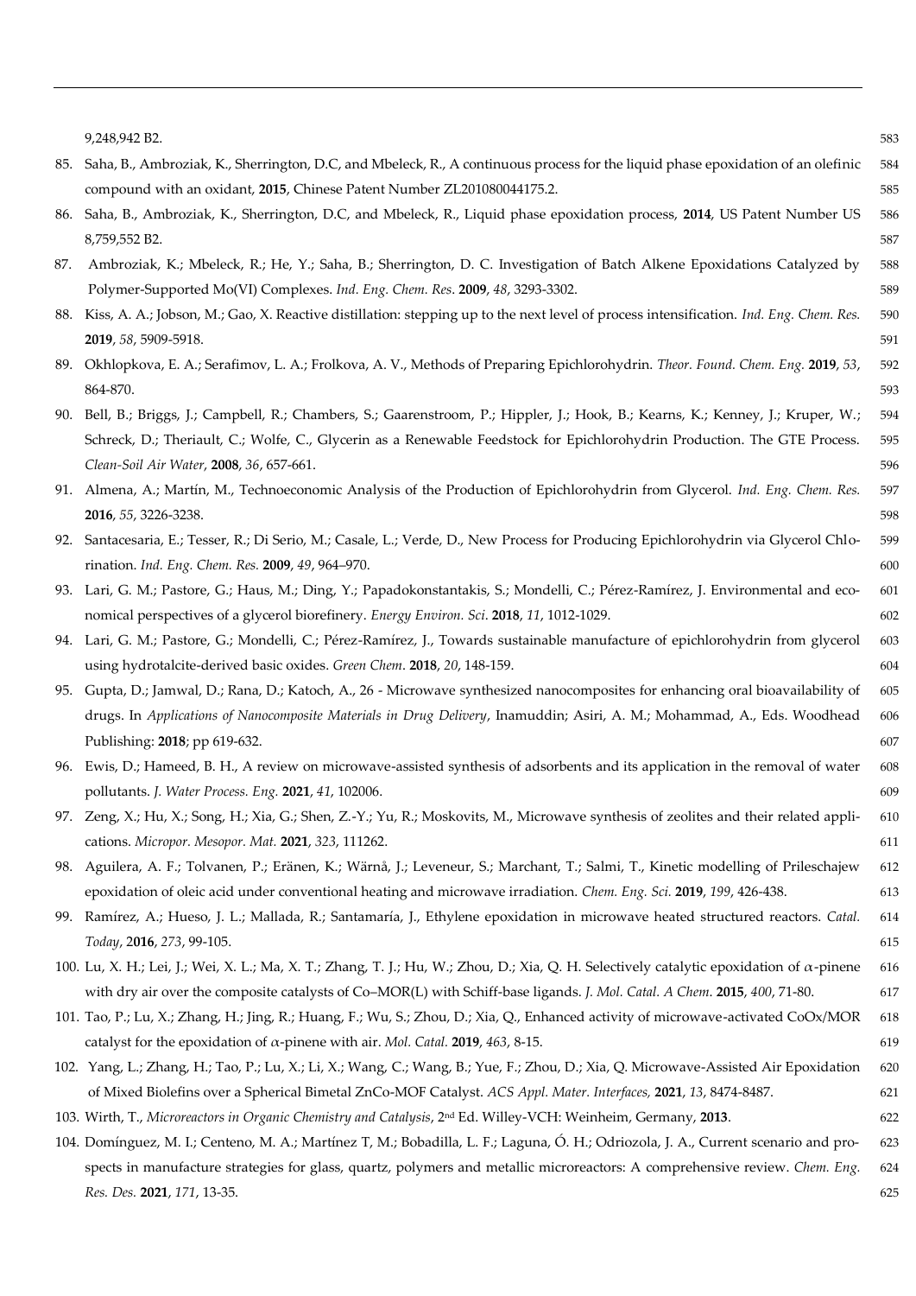|     | 9,248,942 B2.                                                                                                                              | 583 |
|-----|--------------------------------------------------------------------------------------------------------------------------------------------|-----|
| 85. | Saha, B., Ambroziak, K., Sherrington, D.C, and Mbeleck, R., A continuous process for the liquid phase epoxidation of an olefinic           | 584 |
|     | compound with an oxidant, 2015, Chinese Patent Number ZL201080044175.2.                                                                    | 585 |
| 86. | Saha, B., Ambroziak, K., Sherrington, D.C, and Mbeleck, R., Liquid phase epoxidation process, 2014, US Patent Number US                    | 586 |
|     | 8,759,552 B2.                                                                                                                              | 587 |
| 87. | Ambroziak, K.; Mbeleck, R.; He, Y.; Saha, B.; Sherrington, D. C. Investigation of Batch Alkene Epoxidations Catalyzed by                   | 588 |
|     | Polymer-Supported Mo(VI) Complexes. Ind. Eng. Chem. Res. 2009, 48, 3293-3302.                                                              | 589 |
|     | 88. Kiss, A. A.; Jobson, M.; Gao, X. Reactive distillation: stepping up to the next level of process intensification. Ind. Eng. Chem. Res. | 590 |
|     | 2019, 58, 5909-5918.                                                                                                                       | 591 |
|     | 89. Okhlopkova, E. A.; Serafimov, L. A.; Frolkova, A. V., Methods of Preparing Epichlorohydrin. Theor. Found. Chem. Eng. 2019, 53,         | 592 |
|     | 864-870.                                                                                                                                   | 593 |
|     | 90. Bell, B.; Briggs, J.; Campbell, R.; Chambers, S.; Gaarenstroom, P.; Hippler, J.; Hook, B.; Kearns, K.; Kenney, J.; Kruper, W.;         | 594 |
|     | Schreck, D.; Theriault, C.; Wolfe, C., Glycerin as a Renewable Feedstock for Epichlorohydrin Production. The GTE Process.                  | 595 |
|     | Clean-Soil Air Water, 2008, 36, 657-661.                                                                                                   | 596 |
|     | 91. Almena, A.; Martín, M., Technoeconomic Analysis of the Production of Epichlorohydrin from Glycerol. Ind. Eng. Chem. Res.               | 597 |
|     | 2016, 55, 3226-3238.                                                                                                                       | 598 |
|     | 92. Santacesaria, E.; Tesser, R.; Di Serio, M.; Casale, L.; Verde, D., New Process for Producing Epichlorohydrin via Glycerol Chlo-        | 599 |
|     | rination. Ind. Eng. Chem. Res. 2009, 49, 964-970.                                                                                          | 600 |
|     | 93. Lari, G. M.; Pastore, G.; Haus, M.; Ding, Y.; Papadokonstantakis, S.; Mondelli, C.; Pérez-Ramírez, J. Environmental and eco-           | 601 |
|     | nomical perspectives of a glycerol biorefinery. Energy Environ. Sci. 2018, 11, 1012-1029.                                                  | 602 |
|     | 94. Lari, G. M.; Pastore, G.; Mondelli, C.; Pérez-Ramírez, J., Towards sustainable manufacture of epichlorohydrin from glycerol            | 603 |
|     | using hydrotalcite-derived basic oxides. Green Chem. 2018, 20, 148-159.                                                                    | 604 |
|     | 95. Gupta, D.; Jamwal, D.; Rana, D.; Katoch, A., 26 - Microwave synthesized nanocomposites for enhancing oral bioavailability of           | 605 |
|     | drugs. In Applications of Nanocomposite Materials in Drug Delivery, Inamuddin; Asiri, A. M.; Mohammad, A., Eds. Woodhead                   | 606 |
|     | Publishing: 2018; pp 619-632.                                                                                                              | 607 |
|     | 96. Ewis, D.; Hameed, B. H., A review on microwave-assisted synthesis of adsorbents and its application in the removal of water            | 608 |
|     | pollutants. J. Water Process. Eng. 2021, 41, 102006.                                                                                       | 609 |
|     | 97. Zeng, X.; Hu, X.; Song, H.; Xia, G.; Shen, Z.-Y.; Yu, R.; Moskovits, M., Microwave synthesis of zeolites and their related appli-      | 610 |
|     | cations. Micropor. Mesopor. Mat. 2021, 323, 111262.                                                                                        | 611 |
|     | 98. Aguilera, A. F.; Tolvanen, P.; Eränen, K.; Wärnå, J.; Leveneur, S.; Marchant, T.; Salmi, T., Kinetic modelling of Prileschajew         | 612 |
|     | epoxidation of oleic acid under conventional heating and microwave irradiation. Chem. Eng. Sci. 2019, 199, 426-438.                        | 613 |
|     | 99. Ramírez, A.; Hueso, J. L.; Mallada, R.; Santamaría, J., Ethylene epoxidation in microwave heated structured reactors. Catal.           | 614 |
|     | Today, 2016, 273, 99-105.                                                                                                                  | 615 |
|     | 100. Lu, X. H.; Lei, J.; Wei, X. L.; Ma, X. T.; Zhang, T. J.; Hu, W.; Zhou, D.; Xia, Q. H. Selectively catalytic epoxidation of α-pinene   | 616 |
|     | with dry air over the composite catalysts of Co-MOR(L) with Schiff-base ligands. J. Mol. Catal. A Chem. 2015, 400, 71-80.                  | 617 |
|     | 101. Tao, P.; Lu, X.; Zhang, H.; Jing, R.; Huang, F.; Wu, S.; Zhou, D.; Xia, Q., Enhanced activity of microwave-activated CoOx/MOR         | 618 |
|     | catalyst for the epoxidation of $\alpha$ -pinene with air. Mol. Catal. 2019, 463, 8-15.                                                    | 619 |
|     | 102. Yang, L.; Zhang, H.; Tao, P.; Lu, X.; Li, X.; Wang, C.; Wang, B.; Yue, F.; Zhou, D.; Xia, Q. Microwave-Assisted Air Epoxidation       | 620 |
|     | of Mixed Biolefins over a Spherical Bimetal ZnCo-MOF Catalyst. ACS Appl. Mater. Interfaces, 2021, 13, 8474-8487.                           | 621 |
|     | 103. Wirth, T., Microreactors in Organic Chemistry and Catalysis, 2 <sup>nd</sup> Ed. Willey-VCH: Weinheim, Germany, 2013.                 | 622 |
|     | 104. Domínguez, M. I.; Centeno, M. A.; Martínez T, M.; Bobadilla, L. F.; Laguna, Ó. H.; Odriozola, J. A., Current scenario and pro-        | 623 |
|     | spects in manufacture strategies for glass, quartz, polymers and metallic microreactors: A comprehensive review. Chem. Eng.                | 624 |
|     | Res. Des. 2021, 171, 13-35.                                                                                                                | 625 |